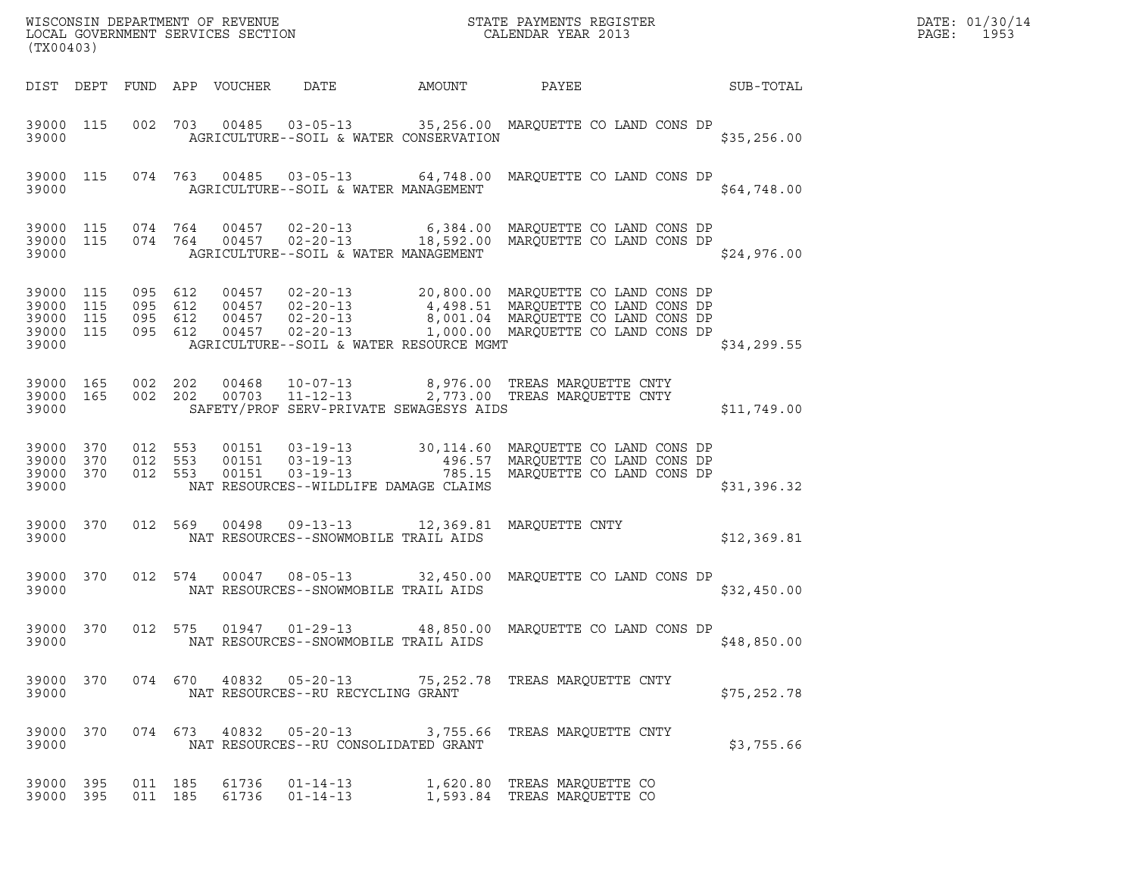| DATE: | 01/30/14 |
|-------|----------|
| PAGE: | 1953     |

| (TX00403)                                                 |           |                                          |         |                            |                                         |        | ${\tt WISCONSIM\ DEPARTMENT\ OF\ REVENUE}\hbox{\tt STATE\ PAYMENTS\ REGISTER\ LOCAL\ GOVERNMENT\ SERVICES\ SECTION\thinspace\ {\tt NETATE\ CALENDAR\ YEAR\ 2013}$                                                 |             | DATE: 01/30/14<br>$\mathtt{PAGE}$ :<br>1953 |
|-----------------------------------------------------------|-----------|------------------------------------------|---------|----------------------------|-----------------------------------------|--------|-------------------------------------------------------------------------------------------------------------------------------------------------------------------------------------------------------------------|-------------|---------------------------------------------|
|                                                           |           |                                          |         | DIST DEPT FUND APP VOUCHER | DATE                                    | AMOUNT | PAYEE<br><b>SUB-TOTAL</b>                                                                                                                                                                                         |             |                                             |
| 39000                                                     | 39000 115 |                                          |         |                            | AGRICULTURE--SOIL & WATER CONSERVATION  |        | 002 703 00485 03-05-13 35,256.00 MARQUETTE CO LAND CONS DP                                                                                                                                                        | \$35,256.00 |                                             |
| 39000                                                     | 39000 115 |                                          |         |                            | AGRICULTURE--SOIL & WATER MANAGEMENT    |        | 074  763  00485  03-05-13  64,748.00 MARQUETTE CO LAND CONS DP                                                                                                                                                    | \$64,748.00 |                                             |
| 39000 115<br>39000                                        | 39000 115 | 074 764                                  | 074 764 |                            | AGRICULTURE--SOIL & WATER MANAGEMENT    |        | 00457  02-20-13   6,384.00 MARQUETTE CO LAND CONS DP<br>00457 02-20-13 18,592.00 MARQUETTE CO LAND CONS DP                                                                                                        | \$24,976.00 |                                             |
| 39000 115<br>39000 115<br>39000 115<br>39000 115<br>39000 |           | 095 612<br>095 612<br>095 612<br>095 612 |         |                            | AGRICULTURE--SOIL & WATER RESOURCE MGMT |        | 00457 02-20-13 20,800.00 MARQUETTE CO LAND CONS DP<br>00457 02-20-13 4,498.51 MARQUETTE CO LAND CONS DP<br>00457 02-20-13 8,001.04 MARQUETTE CO LAND CONS DP<br>00457 02-20-13 1,000.00 MARQUETTE CO LAND CONS DP | \$34,299.55 |                                             |
| 39000 165<br>39000                                        | 39000 165 | 002 202<br>002 202                       |         |                            | SAFETY/PROF SERV-PRIVATE SEWAGESYS AIDS |        | 00468   10-07-13   8,976.00   TREAS MARQUETTE CNTY<br>00703   11-12-13   2,773.00   TREAS MARQUETTE CNTY                                                                                                          | \$11,749.00 |                                             |
| 39000 370<br>39000 370<br>39000 370<br>39000              |           | 012 553<br>012 553<br>012 553            |         |                            | NAT RESOURCES--WILDLIFE DAMAGE CLAIMS   |        | 00151  03-19-13  30,114.60 MARQUETTE CO LAND CONS DP<br>00151  03-19-13  496.57 MARQUETTE CO LAND CONS DP<br>00151  03-19-13  785.15 MARQUETTE CO LAND CONS DP                                                    | \$31,396.32 |                                             |
| 39000 370<br>39000                                        |           | 012 569                                  |         |                            | NAT RESOURCES--SNOWMOBILE TRAIL AIDS    |        | 00498  09-13-13  12,369.81 MARQUETTE CNTY                                                                                                                                                                         | \$12,369.81 |                                             |
| 39000                                                     | 39000 370 | 012 574                                  |         |                            | NAT RESOURCES--SNOWMOBILE TRAIL AIDS    |        | 00047  08-05-13  32,450.00  MARQUETTE CO LAND CONS DP                                                                                                                                                             | \$32,450.00 |                                             |
| 39000 370<br>39000                                        |           |                                          |         |                            | NAT RESOURCES--SNOWMOBILE TRAIL AIDS    |        | 012 575 01947 01-29-13 48,850.00 MARQUETTE CO LAND CONS DP                                                                                                                                                        | \$48,850.00 |                                             |
| 39000 370<br>39000                                        |           |                                          |         |                            | NAT RESOURCES--RU RECYCLING GRANT       |        | 074 670 40832 05-20-13 75,252.78 TREAS MARQUETTE CNTY                                                                                                                                                             | \$75,252.78 |                                             |
| 39000 370<br>39000                                        |           |                                          |         |                            | NAT RESOURCES--RU CONSOLIDATED GRANT    |        | 074 673 40832 05-20-13 3,755.66 TREAS MARQUETTE CNTY                                                                                                                                                              | \$3,755.66  |                                             |
| 39000 395<br>39000 395                                    |           | 011 185<br>011 185                       |         | 61736                      | $01 - 14 - 13$<br>61736 01-14-13        |        | 1,620.80 TREAS MARQUETTE CO<br>1,593.84 TREAS MARQUETTE CO                                                                                                                                                        |             |                                             |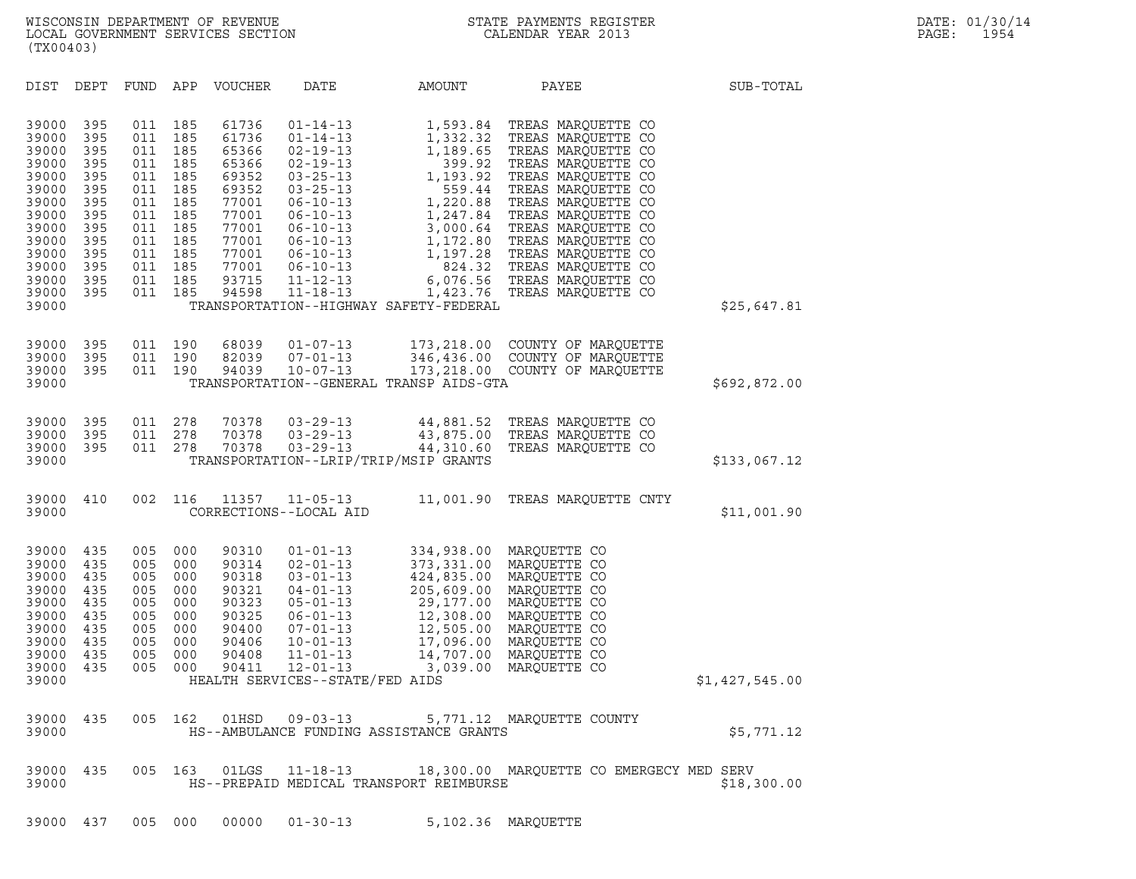DIST DEPT FUND APP VOUCHER DATE AMOUNT PAYEE SUB-TOTAL DIST DEPT FUND APP VOUCHER DATE AMOUNT PAYEE<br>39000 395 011 185 61736 01-14-13 1,593.84 TREAS MARQUETTE CO<br>39000 395 011 185 61736 01-14-13 1,332.32 TREAS MAROUETTE CO 39000 395 011 185 61736 01-14-13 1,593.84 TREAS MARQUETTE CO<br>39000 395 011 185 61736 01-14-13 1,332.32 TREAS MARQUETTE CO<br>39000 395 011 185 65366 02-19-13 1.189.65 TREAS MAROUETTE CO 39000 395 011 185 61736 01-14-13 1,593.84 TREAS MARQUETTE CO<br>39000 395 011 185 61736 01-14-13 1,332.32 TREAS MARQUETTE CO<br>39000 395 011 185 65366 02-19-13 1,189.65 TREAS MARQUETTE CO<br>39000 395 011 185 65366 02-19-13 399.92 39000 395 011 185 61736 01-14-13 1,593.84 TREAS MARQUETTE CO<br>39000 395 011 185 61736 01-14-13 1,332.32 TREAS MARQUETTE CO<br>39000 395 011 185 65366 02-19-13 1,189.65 TREAS MARQUETTE CO<br>39000 395 011 185 69352 03-25-13 1.193. 39000 395 011 185 61736 01-14-13 1,332.32 TREAS MARQUETTE CO<br>39000 395 011 185 65366 02-19-13 1,189.65 TREAS MARQUETTE CO<br>39000 395 011 185 65366 02-19-13 3999.92 TREAS MARQUETTE CO<br>39000 395 011 185 69352 03-25-13 1,193.9 39000 395 011 185 65366 02-19-13 1,189.65 TREAS MARQUETTE CO<br>39000 395 011 185 65366 02-19-13 399.92 TREAS MARQUETTE CO<br>39000 395 011 185 69352 03-25-13 1,193.92 TREAS MARQUETTE CO<br>39000 395 011 185 77001 06-10-13 1.220.88 39000 395 011 185 65366 02-19-13 199.92 TREAS MARQUETTE CO<br>39000 395 011 185 69352 03-25-13 1,193.92 TREAS MARQUETTE CO<br>39000 395 011 185 69352 03-25-13 59.44 TREAS MARQUETTE CO<br>39000 395 011 185 77001 06-10-13 1,247.84 TR 39000 395 011 185 69352 03-25-13 1,193.92 TREAS MARQUETTE CO<br>39000 395 011 185 69352 03-25-13 559.44 TREAS MARQUETTE CO<br>39000 395 011 185 77001 06-10-13 1,247.84 TREAS MARQUETTE CO<br>39000 395 011 185 77001 06-10-13 1,247.84 39000 395 011 185 69352 03-25-13 1,220.88 TREAS MARQUETTE CO<br>39000 395 011 185 77001 06-10-13 1,220.88 TREAS MARQUETTE CO<br>39000 395 011 185 77001 06-10-13 3,000.64 TREAS MARQUETTE CO<br>39000 395 011 185 77001 06-10-13 3,000. 39000 395 011 185 77001 06-10-13 1,220.88 TREAS MARQUETTE CO<br>39000 395 011 185 77001 06-10-13 1,247.84 TREAS MARQUETTE CO<br>39000 395 011 185 77001 06-10-13 3,000.64 TREAS MARQUETTE CO<br>39000 395 011 185 77001 06-10-13 1,172. 39000 395 011 185 77001 06-10-13 1,247.84 TREAS MARQUETTE CO<br>39000 395 011 185 77001 06-10-13 3,000.64 TREAS MARQUETTE CO<br>39000 395 011 185 77001 06-10-13 1,172.80 TREAS MARQUETTE CO<br>39000 395 011 185 77001 06-10-13 1,197. 39000 395 011 185 77001 06-10-13 3,000.64 TREAS MARQUETTE CO<br>39000 395 011 185 77001 06-10-13 1,172.80 TREAS MARQUETTE CO<br>39000 395 011 185 77001 06-10-13 1,197.28 TREAS MARQUETTE CO<br>39000 395 011 185 93715 11-12-13 6.076. 39000 395 011 185 77001 06-10-13 1,172.80 TREAS MARQUETTE CO<br>39000 395 011 185 77001 06-10-13 1,197.28 TREAS MARQUETTE CO<br>39000 395 011 185 93715 11-12-13 6,076.56 TREAS MARQUETTE CO<br>39000 395 011 185 94598 11-18-13 1,423. 39000 395 011 185 77001 06-10-13 1,197.28 TREAS MARQUETTE CO<br>39000 395 011 185 77001 06-10-13 6,076.56 TREAS MARQUETTE CO<br>39000 395 011 185 93715 11-12-13 6,076.56 TREAS MARQUETTE CO<br>39000 395 011 185 94598 11-18-13 1,423. 39000 395 011 185 77001 06-10-13 824.32 TREAS-MARQUETTE-CO<br>39000 395 011 185 93715 11-12-13 6,076.56 TREAS-MARQUETTE-CO<br>39000 395 011 185 94598 11-18-13 1,423.76 TREAS-MARQUETTE-CO 39000 395 011 190 68039 01-07-13 173,218.00 COUNTY OF MARQUETTE 39000 395 011 190 68039 01-07-13 173,218.00 COUNTY.OF MARQUETTE<br>39000 395 011 190 82039 07-01-13 346,436.00 COUNTY.OF MARQUETTE<br>39000 395 011 190 94039 10-07-13 173,218.00 COUNTY.OF MARQUETTE 39000 395 011 190 68039 01-07-13 173,218.00 COUNTY. OF MARQUETTE<br>39000 395 011 190 82039 07-01-13 346,436.00 COUNTY OF MARQUETTE<br>39000 395 011 190 94039 10-07-13 173,218.00 COUNTY OF MARQUETTE 39000 395 011 190 68039 01-07-13 173,218.00 COUNTY OF MARQUETTE<br>39000 395 011 190 82039 07-01-13 346,436.00 COUNTY OF MARQUETTE<br>39000 395 011 190 94039 10-07-13 173,218.00 COUNTY OF MARQUETTE \$692,872.00<br>39000 39000 395 011 278 70378 03-29-13 44,881.52 TREAS MARQUETTE CO 39000 395 011 278 70378 03-29-13 44,881.52 TREAS\_MARQUETTE\_CO<br>39000 395 011 278 70378 03-29-13 43,875.00 TREAS\_MARQUETTE\_CO<br>39000 395 011 278 70378 03-29-13 44,310.60 TREAS\_MAROUETTE\_CO 39000 395 011 278 70378 03-29-13 44,881.52 TREAS\_MARQUETTE CO<br>39000 395 011 278 70378 03-29-13 43,875.00 TREAS\_MARQUETTE CO<br>39000 395 011 278 70378 03-29-13 44,310.60 TREAS\_MARQUETTE CO 39000 395 011 278 70378 03-29-13 44,881.52 TREAS-MARQUETTE-CO<br>39000 395 011 278 70378 03-29-13 43,875.00 TREAS-MARQUETTE-CO<br>39000 395 011 278 70378 03-29-13 44,310.60 TREAS-MARQUETTE-CO<br>39000 39000 410 002 116 11357 11-05-13 11,001.90 TREAS MARQUETTE CNTY <sup>39000</sup> CORRECTIONS--LOCAL AID \$11,001.90 39000 435 005 000 90310 01-01-13 334,938.00 MARQUETTE CO 39000 435 005 000 90314 02-01-13 373,331.00 MARQUETTE CO 39000 435 005 000 90310 01-01-13 334,938.00 MARQUETTE CO<br>39000 435 005 000 90314 02-01-13 373,331.00 MARQUETTE CO<br>39000 435 005 000 90318 03-01-13 424,835.00 MARQUETTE CO<br>39000 435 005 000 90321 04-01-13 205,609.00 MAROUET 39000 435 005 000 90310 01-01-13 334,938.00 MARQUETTE CO<br>39000 435 005 000 90314 02-01-13 373,331.00 MARQUETTE CO<br>39000 435 005 000 90318 03-01-13 424,835.00 MARQUETTE CO<br>39000 435 005 000 90321 04-01-13 205,609.00 MARQUET 39000 435 005 000 90314 02-01-13 373,331.00 MARQUETTE CO<br>39000 435 005 000 90318 03-01-13 424,835.00 MARQUETTE CO<br>39000 435 005 000 90321 04-01-13 205,609.00 MARQUETTE CO<br>39000 435 005 000 90323 05-01-13 29,177.00 MARQUETT 39000 435 005 000 90318 03-01-13 424,835.00 MARQUETTE CO<br>39000 435 005 000 90321 04-01-13 205,609.00 MARQUETTE CO<br>39000 435 005 000 90323 06-01-13 29,177.00 MARQUETTE CO<br>39000 435 005 000 90400 07-01-13 12,308.00 MARQUETTE 39000 435 005 000 90321 04-01-13 205,609.00 MARQUETTE CO<br>39000 435 005 000 90323 05-01-13 29,177.00 MARQUETTE CO<br>39000 435 005 000 90325 06-01-13 12,308.00 MARQUETTE CO<br>39000 435 005 000 90400 07-01-13 12,505.00 MARQUETTE 39000 435 005 000 90323 05-01-13 29,177.00 MARQUETTE CO<br>39000 435 005 000 90325 06-01-13 12,308.00 MARQUETTE CO<br>39000 435 005 000 90406 07-01-13 17,096.00 MARQUETTE CO<br>39000 435 005 000 90406 10-01-13 17,096.00 MARQUETTE C 39000 435 005 000 90325 06-01-13 12,308.00 MARQUETTE CO<br>39000 435 005 000 90400 07-01-13 12,505.00 MARQUETTE CO<br>39000 435 005 000 90406 10-01-13 14,709.00 MARQUETTE CO<br>39000 435 005 000 90408 11-01-13 14,707.00 MARQUETTE C 39000 435 005 000 90400 07-01-13 12,505.00 MARQUETTE CO<br>39000 435 005 000 90406 10-01-13 17,096.00 MARQUETTE CO<br>39000 435 005 000 90408 11-01-13 14,707.00 MARQUETTE CO<br>39000 435 005 000 90411 12-01-13 3,039.00 MARQUETTE CO <sup>39000</sup> HEALTH SERVICES--STATE/FED AIDS \$1,427,545.00 39000 435 005 162 01HSD 09-03-13 5,771.12 MARQUETTE COUNTY <sup>39000</sup> HS--AMBULANCE FUNDING ASSISTANCE GRANTS \$5,771.12 39000 435 005 163 01LGS 11-18-13 18,300.00 MARQUETTE CO EMERGECY MED SERV <sup>39000</sup> HS--PREPAID MEDICAL TRANSPORT REIMBURSE \$18,300.00  $39000$   $39000$   $39000$   $437$   $005$   $000$   $0000$   $01-30-13$   $5,102.36$  MARQUETTE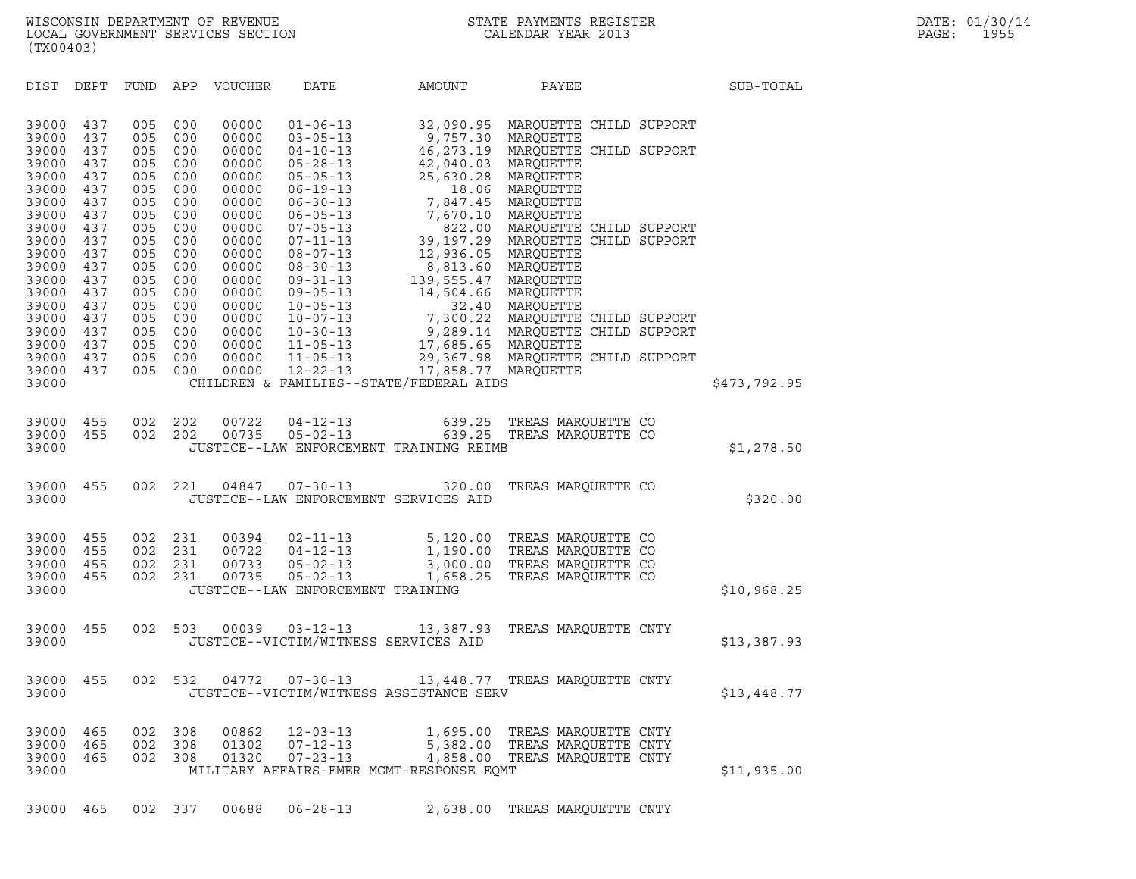DIST DEPT FUND APP VOUCHER DATE AMOUNT PAYEE PATE SUB-TOTAL 39000 437 005 000 00000 01-06-13 32,090.95 MARQUETTE CHILD SUPPORT 39000 437 005 000 00000 01-06-13 32,090.95 MARQUETTE CH:<br>39000 437 005 000 00000 03-05-13 9,757.30 MARQUETTE<br>39000 437 005 000 00000 04-10-13 46,273.19 MAROUETTE CH: 39000 437 005 000 00000 01-06-13 32,090.95 MARQUETTE CHILD SUPPORT<br>39000 437 005 000 00000 03-05-13 9,757.30 MARQUETTE<br>39000 437 005 000 00000 04-10-13 46,273.19 MARQUETTE CHILD SUPPORT<br>39000 437 005 000 00000 05-28-13 42, 39000 437 005 000 00000 01-06-13 32,090.95 MARQUETTE CH:<br>39000 437 005 000 00000 03-05-13 9,757.30 MARQUETTE CH:<br>39000 437 005 000 00000 04-10-13 46,273.19 MARQUETTE CH:<br>39000 437 005 000 00000 05-28-13 42,040.03 MARQUETTE 39000 437 005 000 00000 03-05-13 9,757.30 MARQUETTE<br>39000 437 005 000 00000 04-10-13 46,273.19 MARQUETTE CH:<br>39000 437 005 000 00000 05-05-13 42,040.03 MARQUETTE<br>39000 437 005 000 00000 06-05-13 25,630.28 MARQUETTE<br>39000 4 39000 437 005 000 00000 04-10-13 46,273.19 MARQUETTE CH:<br>39000 437 005 000 00000 05-28-13 42,040.03 MARQUETTE<br>39000 437 005 000 00000 05-05-13 25,630.28 MARQUETTE<br>39000 437 005 000 00000 06-19-13 7.847.45 MARQUETTE 39000 437 005 000 00000 05-28-13 42,040.03 MARQUETTE<br>39000 437 005 000 00000 05-05-13 25,630.28 MARQUETTE<br>39000 437 005 000 00000 06-30-13 7,847.45 MARQUETTE<br>39000 437 005 000 00000 06-30-13 7,847.45 MARQUETTE<br>39000 437 00 39000 437 005 000 00000 05-05-13 25,630.28 MARQUETTE<br>39000 437 005 000 00000 06-19-13 18.06 MARQUETTE<br>39000 437 005 000 00000 06-30-13 7,847.45 MARQUETTE<br>39000 437 005 000 00000 06-05-13 7,670.10 MARQUETTE<br>39000 437 005 00 39000 437 005 000 00000 06-19-13 18.06 MARQUETTE<br>39000 437 005 000 00000 06-30-13 7,847.45 MARQUETTE<br>39000 437 005 000 000000 06-05-13 7,670.10 MARQUETTE<br>39000 437 005 000 00000 07-05-13 39,197.29 MARQUETTE CHILD SUPPORT 39000 437 005 000 00000 06-30-13 7,847.45 MARQUETTE<br>39000 437 005 000 00000 06-05-13 7,670.10 MARQUETTE<br>39000 437 005 000 00000 07-05-13 39,2.00 MARQUETTE CHILD SUPPORT<br>39000 437 005 000 00000 08-07-11-13 39,197.29 MARQUET 39000 437 005 000 00000 06-05-13 7,670.10 MARQUETTE<br>39000 437 005 000 00000 07-05-13 39,197.29 MARQUETTE CH:<br>39000 437 005 000 00000 07-11-13 39,197.29 MARQUETTE CH:<br>39000 437 005 000 00000 08-30-13 12,936.05 MARQUETTE<br>390 39000 437 005 000 00000 07-05-13 39,197.29 MARQUETTE CH:<br>39000 437 005 000 00000 07-11-13 39,197.29 MARQUETTE CH:<br>39000 437 005 000 00000 08-07-13 12,936.05 MARQUETTE<br>39000 437 005 000 00000 09-31-13 139,555.47 MARQUETTE 39000 437 005 000 00000 07-11-13 39,197.29 MARQUETTE CH:<br>39000 437 005 000 00000 08-07-13 12,936.05 MARQUETTE<br>39000 437 005 000 00000 08-30-13 8,813.60 MARQUETTE<br>39000 437 005 000 00000 09-31-13 139,555.47 MARQUETTE<br>39000 39000 437 005 000 00000 08-07-13 12,936.05 MARQUETTE<br>39000 437 005 000 00000 08-30-13 8,813.60 MARQUETTE<br>39000 437 005 000 00000 09-31-13 139,555.47 MARQUETTE<br>39000 437 005 000 00000 10-05-13 14,504.66 MARQUETTE<br>39000 437 39000 437 005 000 00000 08-30-13 8,813.60 MARQUETTE<br>39000 437 005 000 00000 09-31-13 139,555.47 MARQUETTE<br>39000 437 005 000 00000 09-05-13 14,504.66 MARQUETTE<br>39000 437 005 000 00000 10-05-13 7,300.22 MARQUETTE 39000 437 005 000 00000 09-31-13 139,555.47 MARQUETTE<br>39000 437 005 000 00000 09-05-13 14,504.66 MARQUETTE<br>39000 437 005 000 00000 10-05-13 32.40 MARQUETTE<br>39000 437 005 000 00000 10-07-13 7,300.22 MARQUETTE CHILD SUPPORT<br> 39000 437 005 000 00000 09-05-13 14,504.66 MARQUETTE<br>39000 437 005 000 00000 10-05-13 32.40 MARQUETTE CHILD SUPPORT<br>39000 437 005 000 00000 10-30-13 7,300.22 MARQUETTE CHILD SUPPORT<br>39000 437 005 000 00000 11-05-13 17,685. 39000 437 005 000 00000 10-05-13 32.40 MARQUETTE<br>39000 437 005 000 00000 10-07-13 7,300.22 MARQUETTE CH:<br>39000 437 005 000 00000 10-30-13 9,289.14 MARQUETTE CH:<br>39000 437 005 000 00000 11-05-13 17,685.65 MARQUETTE<br>39000 43 39000 437 005 000 00000 10-07-13 7,300.22 MARQUETTE CHILD SUPPORT<br>39000 437 005 000 00000 10-30-13 9,289.14 MARQUETTE CHILD SUPPORT<br>39000 437 005 000 00000 11-05-13 17,685.65 MARQUETTE CHILD SUPPORT<br>39000 437 005 000 00000 39000 437 005 000 00000 10-30-13 9,289.14 MARQUETTE CH:<br>39000 437 005 000 00000 11-05-13 17,685.65 MARQUETTE<br>39000 437 005 000 00000 11-05-13 29,367.98 MARQUETTE CH:<br>39000 437 005 000 00000 12-22-13 17,858.77 MARQUETTE<br>390 <sup>39000</sup> CHILDREN & FAMILIES--STATE/FEDERAL AIDS \$473,792.95 39000 455 002 202 00722 04-12-13 639.25 TREAS MARQUETTE CO 39000 455 002 202 00735 05-02-13 639.25 TREAS MARQUETTE CO <sup>39000</sup> JUSTICE--LAW ENFORCEMENT TRAINING REIMB \$1,278.50 39000 455 002 221 04847 07-30-13 320.00 TREAS MARQUETTE CO <sup>39000</sup> JUSTICE--LAW ENFORCEMENT SERVICES AID \$320.00 39000 JUSTICE--LAW ENFORCEMENT SERVICES AID

| 39000 | 455 | 002 | -231 | 00394 | $02 - 11 - 13$                    | 5,120.00 | TREAS MAROUETTE CO          |             |
|-------|-----|-----|------|-------|-----------------------------------|----------|-----------------------------|-------------|
| 39000 | 455 | 002 | -231 | 00722 | $04 - 12 - 13$                    | 1,190.00 | TREAS MAROUETTE CO          |             |
| 39000 | 455 | 002 | -231 | 00733 | $05 - 02 - 13$                    |          | 3,000.00 TREAS MAROUETTE CO |             |
| 39000 | 455 | 002 | 231  | 00735 | $05 - 02 - 13$                    |          | 1,658.25 TREAS MAROUETTE CO |             |
| 39000 |     |     |      |       | JUSTICE--LAW ENFORCEMENT TRAINING |          |                             | \$10,968.25 |
|       |     |     |      |       |                                   |          |                             |             |

- 39000 JUSTICE--LAW ENFORCEMENT TRAINING<br>39000 455 002 503 00039 03-12-13 13,387.93 TREAS MARQUETTE CNTY<br>39000 JUSTICE--VICTIM/WITNESS SERVICES AID 39000 455 002 503 00039 03-12-13 13,387.93 TREAS\_MARQUETTE\_CNTY<br>39000 JUSTICE--VICTIM/WITNESS\_SERVICES\_AID
- 39000 JUSTICE--VICTIM/WITNESS SERVICES AID<br>39000 455 002 532 04772 07-30-13 13,448.77 TREAS MARQUETTE CNTY<br>39000 JUSTICE--VICTIM/WITNESS ASSISTANCE SERV <sup>39000</sup> JUSTICE--VICTIM/WITNESS ASSISTANCE SERV \$13,448.77 39000 455 002 532 04772 07-30-13 13,440.77<br>39000 JUSTICE--VICTIM/WITNESS ASSISTANCE SERV \$13,448.77

| 39000 465 002 308 |  | 00862 | $12 - 03 - 13$                   |                                          | 1,695.00 TREAS MAROUETTE CNTY |             |
|-------------------|--|-------|----------------------------------|------------------------------------------|-------------------------------|-------------|
| 39000 465 002 308 |  |       | 01302 07-12-13                   |                                          | 5,382.00 TREAS MAROUETTE CNTY |             |
|                   |  |       | 39000 465 002 308 01320 07-23-13 |                                          | 4,858.00 TREAS MAROUETTE CNTY |             |
| 39000             |  |       |                                  | MILITARY AFFAIRS-EMER MGMT-RESPONSE EOMT |                               | \$11,935.00 |

39000 465 002 337 00688 06-28-13 2,638.00 TREAS MARQUETTE CNTY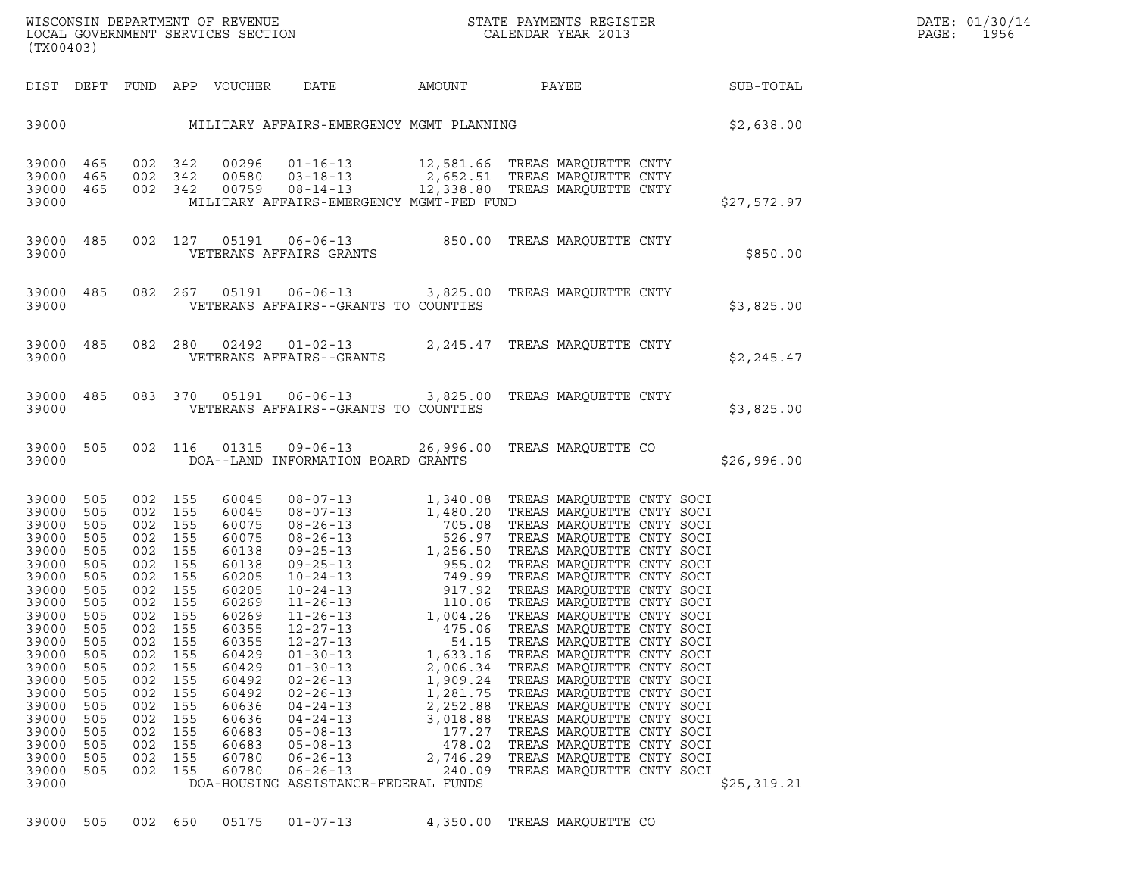| (TX00403)                                                                                                                                                                                                       |                                                                                                                                                        |                                                                                                                                                                                                                                                                             |                                                                                                                                                                                                    | WISCONSIN DEPARTMENT OF REVENUE<br>LOCAL GOVERNMENT SERVICES SECTION<br>(TWO0400)                                                                                                                                                                                                                                                                                                                                                                                                                                            |                                                                                                                                   |                                                                                                                                                                                                                                                                                                                                                          |             | DATE: 01/30/14<br>PAGE:<br>1956 |
|-----------------------------------------------------------------------------------------------------------------------------------------------------------------------------------------------------------------|--------------------------------------------------------------------------------------------------------------------------------------------------------|-----------------------------------------------------------------------------------------------------------------------------------------------------------------------------------------------------------------------------------------------------------------------------|----------------------------------------------------------------------------------------------------------------------------------------------------------------------------------------------------|------------------------------------------------------------------------------------------------------------------------------------------------------------------------------------------------------------------------------------------------------------------------------------------------------------------------------------------------------------------------------------------------------------------------------------------------------------------------------------------------------------------------------|-----------------------------------------------------------------------------------------------------------------------------------|----------------------------------------------------------------------------------------------------------------------------------------------------------------------------------------------------------------------------------------------------------------------------------------------------------------------------------------------------------|-------------|---------------------------------|
|                                                                                                                                                                                                                 |                                                                                                                                                        |                                                                                                                                                                                                                                                                             |                                                                                                                                                                                                    | DIST DEPT FUND APP VOUCHER DATE AMOUNT PAYEE SUB-TOTAL                                                                                                                                                                                                                                                                                                                                                                                                                                                                       |                                                                                                                                   |                                                                                                                                                                                                                                                                                                                                                          |             |                                 |
|                                                                                                                                                                                                                 |                                                                                                                                                        |                                                                                                                                                                                                                                                                             |                                                                                                                                                                                                    | 39000 MILITARY AFFAIRS-EMERGENCY MGMT PLANNING S2,638.00                                                                                                                                                                                                                                                                                                                                                                                                                                                                     |                                                                                                                                   |                                                                                                                                                                                                                                                                                                                                                          |             |                                 |
| 39000 465<br>39000 465<br>39000 465<br>39000                                                                                                                                                                    |                                                                                                                                                        |                                                                                                                                                                                                                                                                             |                                                                                                                                                                                                    | 002 342 00296 01-16-13 12,581.66 TREAS_MARQUETTE_CNTY<br>002 342 00580 03-18-13 2,652.51 TREAS_MARQUETTE_CNTY<br>002 342 00759 08-14-13 12,338.80 TREAS_MARQUETTE_CNTY<br>MILITARY AFFAIRS-EMERGENCY MGMT-FED FUND                                                                                                                                                                                                                                                                                                           |                                                                                                                                   |                                                                                                                                                                                                                                                                                                                                                          | \$27,572.97 |                                 |
| 39000 485                                                                                                                                                                                                       |                                                                                                                                                        |                                                                                                                                                                                                                                                                             |                                                                                                                                                                                                    | 002 127 05191 06-06-13 850.00 TREAS MARQUETTE CNTY<br>VETERANS AFFAIRS GRANTS<br>39000 VETERANS AFFAIRS GRANTS                                                                                                                                                                                                                                                                                                                                                                                                               |                                                                                                                                   |                                                                                                                                                                                                                                                                                                                                                          | \$850.00    |                                 |
|                                                                                                                                                                                                                 |                                                                                                                                                        |                                                                                                                                                                                                                                                                             |                                                                                                                                                                                                    | 39000 485 082 267 05191 06-06-13 3,825.00 TREAS MARQUETTE CNTY<br>39000 VETERANS AFFAIRS--GRANTS TO COUNTIES                                                                                                                                                                                                                                                                                                                                                                                                                 |                                                                                                                                   |                                                                                                                                                                                                                                                                                                                                                          | \$3,825.00  |                                 |
|                                                                                                                                                                                                                 |                                                                                                                                                        |                                                                                                                                                                                                                                                                             |                                                                                                                                                                                                    | $39000$ 485 082 280 02492 01-02-13 2,245.47 TREAS MARQUETTE CNTY<br>39000 VETERANS AFFAIRS--GRANTS                                                                                                                                                                                                                                                                                                                                                                                                                           |                                                                                                                                   |                                                                                                                                                                                                                                                                                                                                                          | \$2,245.47  |                                 |
|                                                                                                                                                                                                                 |                                                                                                                                                        |                                                                                                                                                                                                                                                                             |                                                                                                                                                                                                    | 39000 485 083 370 05191 06-06-13 3,825.00 TREAS MARQUETTE CNTY<br>39000 VETERANS AFFAIRS--GRANTS TO COUNTIES                                                                                                                                                                                                                                                                                                                                                                                                                 |                                                                                                                                   |                                                                                                                                                                                                                                                                                                                                                          | \$3,825.00  |                                 |
| 39000 505                                                                                                                                                                                                       |                                                                                                                                                        |                                                                                                                                                                                                                                                                             |                                                                                                                                                                                                    | 002 116 01315 09-06-13 26,996.00 TREAS MARQUETTE CO<br>39000 DOA--LAND INFORMATION BOARD GRANTS                                                                                                                                                                                                                                                                                                                                                                                                                              |                                                                                                                                   |                                                                                                                                                                                                                                                                                                                                                          | \$26,996.00 |                                 |
| 39000<br>39000<br>39000<br>39000<br>39000<br>39000<br>39000<br>39000<br>39000<br>39000 505<br>39000<br>39000<br>39000<br>39000<br>39000<br>39000<br>39000<br>39000<br>39000<br>39000<br>39000<br>39000<br>39000 | 505<br>505<br>505<br>505<br>505<br>505<br>505<br>505<br>505<br>505<br>002<br>505<br>505<br>505<br>505<br>505<br>505<br>505<br>505<br>505<br>505<br>505 | 002 155<br>002 155<br>002 155<br>002 155<br>002 155<br>002 155<br>002 155<br>002 155<br>002 155<br>002 155<br>155<br>155<br>002<br>002<br>155<br>002<br>155<br>002<br>155<br>155<br>002<br>155<br>002<br>002<br>155<br>002<br>155<br>155<br>002<br>155<br>002<br>155<br>002 | 60045<br>60045<br>60075<br>60075<br>60138<br>60138<br>60205<br>60205<br>60269<br>60269<br>60355<br>60355<br>60429<br>60429<br>60492<br>60492<br>60636<br>60636<br>60683<br>60683<br>60780<br>60780 | 08-07-13<br>08-07-13<br>1,340.08<br>1,480.20<br>1,480.20<br>TREAS MARQUETTE CNTY SOCI<br>08-26-13<br>1,256.50<br>TREAS MARQUETTE CNTY SOCI<br>09-25-13<br>1,256.50<br>TREAS MARQUETTE CNTY SOCI<br>09-25-13<br>1,256.50<br>TREAS MARQUETTE CNTY SOCI<br>10-2<br>$12 - 27 - 13$<br>$12 - 27 - 13$<br>$01 - 30 - 13$<br>$01 - 30 - 13$<br>$02 - 26 - 13$<br>$02 - 26 - 13$<br>$04 - 24 - 13$<br>$04 - 24 - 13$<br>$05 - 08 - 13$<br>$05 - 08 - 13$<br>$06 - 26 - 13$<br>$06 - 26 - 13$<br>DOA-HOUSING ASSISTANCE-FEDERAL FUNDS | 475.06<br>54.15<br>1,633.16<br>2,006.34<br>1,909.24<br>1,281.75<br>2,252.88<br>3,018.88<br>177.27<br>478.02<br>2,746.29<br>240.09 | TREAS MARQUETTE CNTY SOCI<br>TREAS MARQUETTE CNTY SOCI<br>TREAS MARQUETTE CNTY SOCI<br>TREAS MARQUETTE CNTY SOCI<br>TREAS MARQUETTE CNTY SOCI<br>TREAS MARQUETTE CNTY SOCI<br>TREAS MARQUETTE CNTY SOCI<br>TREAS MARQUETTE CNTY SOCI<br>TREAS MARQUETTE CNTY SOCI<br>TREAS MARQUETTE CNTY SOCI<br>TREAS MAROUETTE CNTY SOCI<br>TREAS MARQUETTE CNTY SOCI | \$25,319.21 |                                 |

39000 505 002 650 05175 01-07-13 4,350.00 TREAS MARQUETTE CO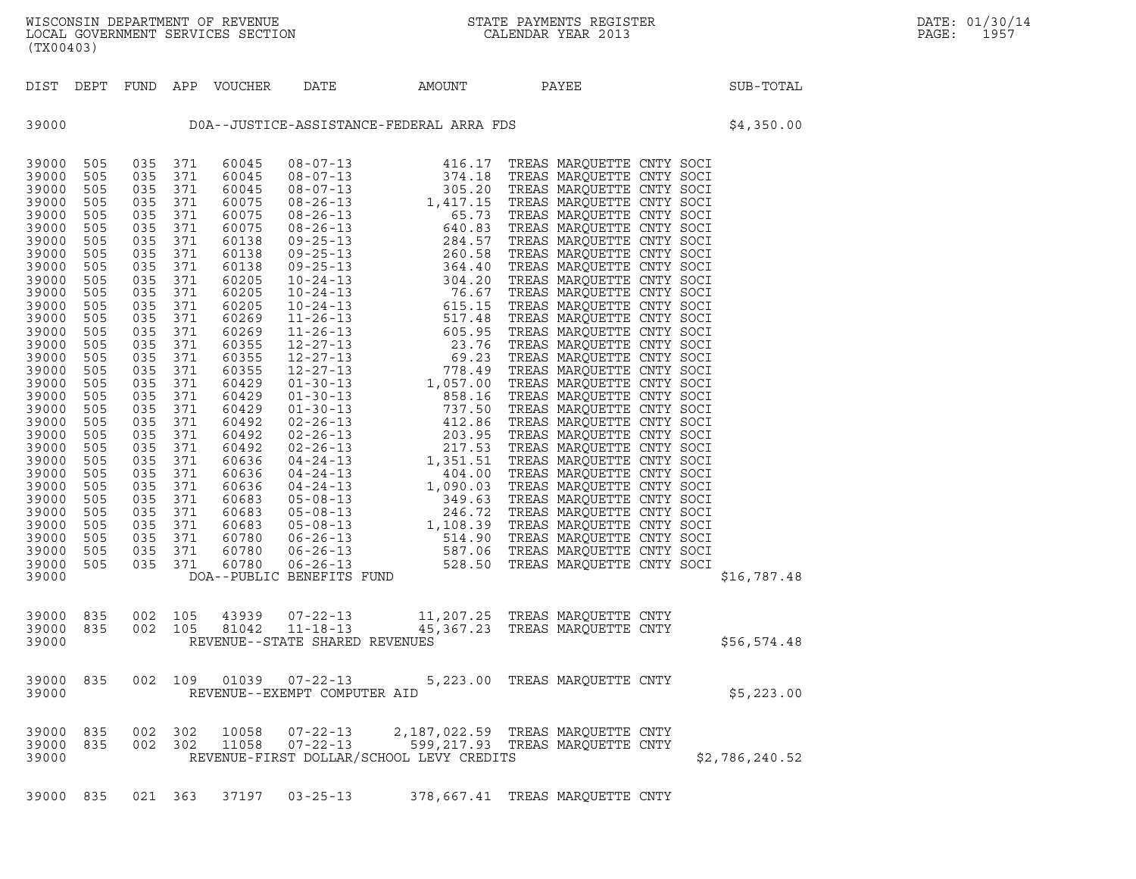| (TX00403)                                                                                                                                                                                                                                                                                             |                                                                                                                                                                                                                              |                                                                                                                                                                                                                              |                                                                                                                                                                                                                              |                            |                                                                    |                                                                                                                                                                                                                                       |                                                                      |  |                |
|-------------------------------------------------------------------------------------------------------------------------------------------------------------------------------------------------------------------------------------------------------------------------------------------------------|------------------------------------------------------------------------------------------------------------------------------------------------------------------------------------------------------------------------------|------------------------------------------------------------------------------------------------------------------------------------------------------------------------------------------------------------------------------|------------------------------------------------------------------------------------------------------------------------------------------------------------------------------------------------------------------------------|----------------------------|--------------------------------------------------------------------|---------------------------------------------------------------------------------------------------------------------------------------------------------------------------------------------------------------------------------------|----------------------------------------------------------------------|--|----------------|
| DIST                                                                                                                                                                                                                                                                                                  |                                                                                                                                                                                                                              |                                                                                                                                                                                                                              |                                                                                                                                                                                                                              | DEPT FUND APP VOUCHER DATE |                                                                    | AMOUNT                                                                                                                                                                                                                                | PAYEE                                                                |  | SUB-TOTAL      |
| 39000                                                                                                                                                                                                                                                                                                 |                                                                                                                                                                                                                              | DOA--JUSTICE-ASSISTANCE-FEDERAL ARRA FDS<br>\$4,350.00                                                                                                                                                                       |                                                                                                                                                                                                                              |                            |                                                                    |                                                                                                                                                                                                                                       |                                                                      |  |                |
| 39000<br>39000<br>39000<br>39000<br>39000<br>39000<br>39000<br>39000<br>39000<br>39000<br>39000<br>39000<br>39000<br>39000<br>39000<br>39000<br>39000<br>39000<br>39000<br>39000<br>39000<br>39000<br>39000<br>39000<br>39000<br>39000<br>39000<br>39000<br>39000<br>39000<br>39000<br>39000<br>39000 | 505<br>505<br>505<br>505<br>505<br>505<br>505<br>505<br>505<br>505<br>505<br>505<br>505<br>505<br>505<br>505<br>505<br>505<br>505<br>505<br>505<br>505<br>505<br>505<br>505<br>505<br>505<br>505<br>505<br>505<br>505<br>505 | 035<br>035<br>035<br>035<br>035<br>035<br>035<br>035<br>035<br>035<br>035<br>035<br>035<br>035<br>035<br>035<br>035<br>035<br>035<br>035<br>035<br>035<br>035<br>035<br>035<br>035<br>035<br>035<br>035<br>035<br>035<br>035 | 371<br>371<br>371<br>371<br>371<br>371<br>371<br>371<br>371<br>371<br>371<br>371<br>371<br>371<br>371<br>371<br>371<br>371<br>371<br>371<br>371<br>371<br>371<br>371<br>371<br>371<br>371<br>371<br>371<br>371<br>371<br>371 |                            |                                                                    | 711 60045 08-07-13 416.17 TREAS MARQUETTE CNTY SOCI<br>711 60045 08-07-13 374.18 TREAS MARQUETTE CNTY SOCI<br>716 0045 08-07-13 304.18 TREAS MARQUETTE CNTY SOCI<br>716 00075 08-26-13 1,417.15 TREAS MARQUETTE CNTY SOCI<br>716 0075 |                                                                      |  | \$16,787.48    |
| 39000<br>39000<br>39000                                                                                                                                                                                                                                                                               | 835<br>835                                                                                                                                                                                                                   | 002<br>002                                                                                                                                                                                                                   | 105<br>105                                                                                                                                                                                                                   |                            | 43939 07-22-13<br>81042 11-18-13<br>REVENUE--STATE SHARED REVENUES |                                                                                                                                                                                                                                       | 11,207.25 TREAS MARQUETTE CNTY<br>45,367.23 TREAS MARQUETTE CNTY     |  | \$56,574.48    |
| 39000<br>39000                                                                                                                                                                                                                                                                                        | 835                                                                                                                                                                                                                          | 002                                                                                                                                                                                                                          | 109                                                                                                                                                                                                                          | 01039                      | $07 - 22 - 13$<br>REVENUE--EXEMPT COMPUTER AID                     |                                                                                                                                                                                                                                       | 5,223.00 TREAS MARQUETTE CNTY                                        |  | \$5,223.00     |
| 39000 835<br>39000 835<br>39000                                                                                                                                                                                                                                                                       |                                                                                                                                                                                                                              | 002<br>002                                                                                                                                                                                                                   | 302<br>302                                                                                                                                                                                                                   | 10058<br>11058             | $07 - 22 - 13$<br>$07 - 22 - 13$                                   | REVENUE-FIRST DOLLAR/SCHOOL LEVY CREDITS                                                                                                                                                                                              | 2,187,022.59 TREAS MARQUETTE CNTY<br>599,217.93 TREAS MAROUETTE CNTY |  | \$2,786,240.52 |
| 39000                                                                                                                                                                                                                                                                                                 | 835                                                                                                                                                                                                                          |                                                                                                                                                                                                                              | 021 363                                                                                                                                                                                                                      |                            | 37197 03-25-13                                                     |                                                                                                                                                                                                                                       | 378,667.41 TREAS MARQUETTE CNTY                                      |  |                |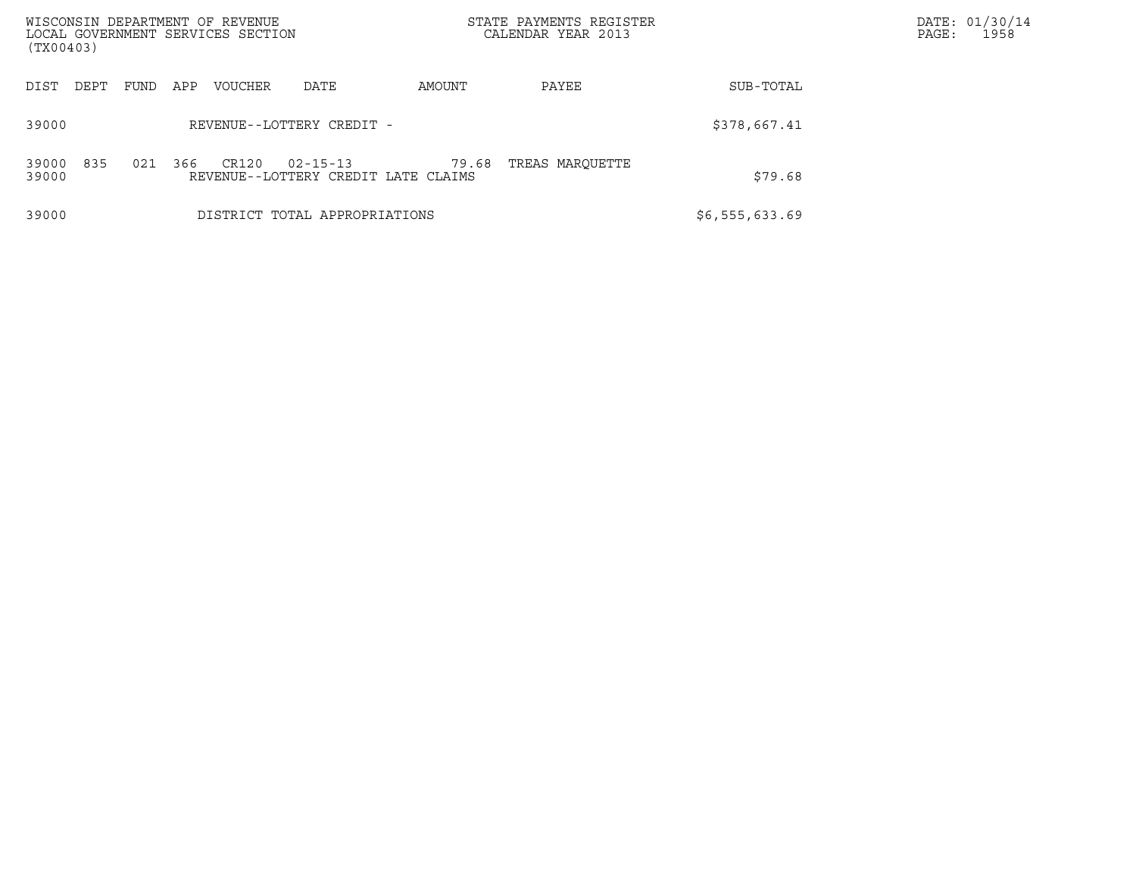| WISCONSIN DEPARTMENT OF REVENUE<br>LOCAL GOVERNMENT SERVICES SECTION<br>(TX00403) |             |     |         |                               |                                              | STATE PAYMENTS REGISTER<br>CALENDAR YEAR 2013 |                | DATE: 01/30/14<br>PAGE:<br>1958 |
|-----------------------------------------------------------------------------------|-------------|-----|---------|-------------------------------|----------------------------------------------|-----------------------------------------------|----------------|---------------------------------|
| DIST<br>DEPT                                                                      | <b>FUND</b> | APP | VOUCHER | DATE                          | AMOUNT                                       | PAYEE                                         | SUB-TOTAL      |                                 |
| 39000                                                                             |             |     |         | REVENUE--LOTTERY CREDIT -     |                                              |                                               | \$378,667.41   |                                 |
| 835<br>39000<br>39000                                                             | 021         | 366 | CR120   | $02 - 15 - 13$                | 79.68<br>REVENUE--LOTTERY CREDIT LATE CLAIMS | TREAS MAROUETTE                               | \$79.68        |                                 |
| 39000                                                                             |             |     |         | DISTRICT TOTAL APPROPRIATIONS |                                              |                                               | \$6,555,633.69 |                                 |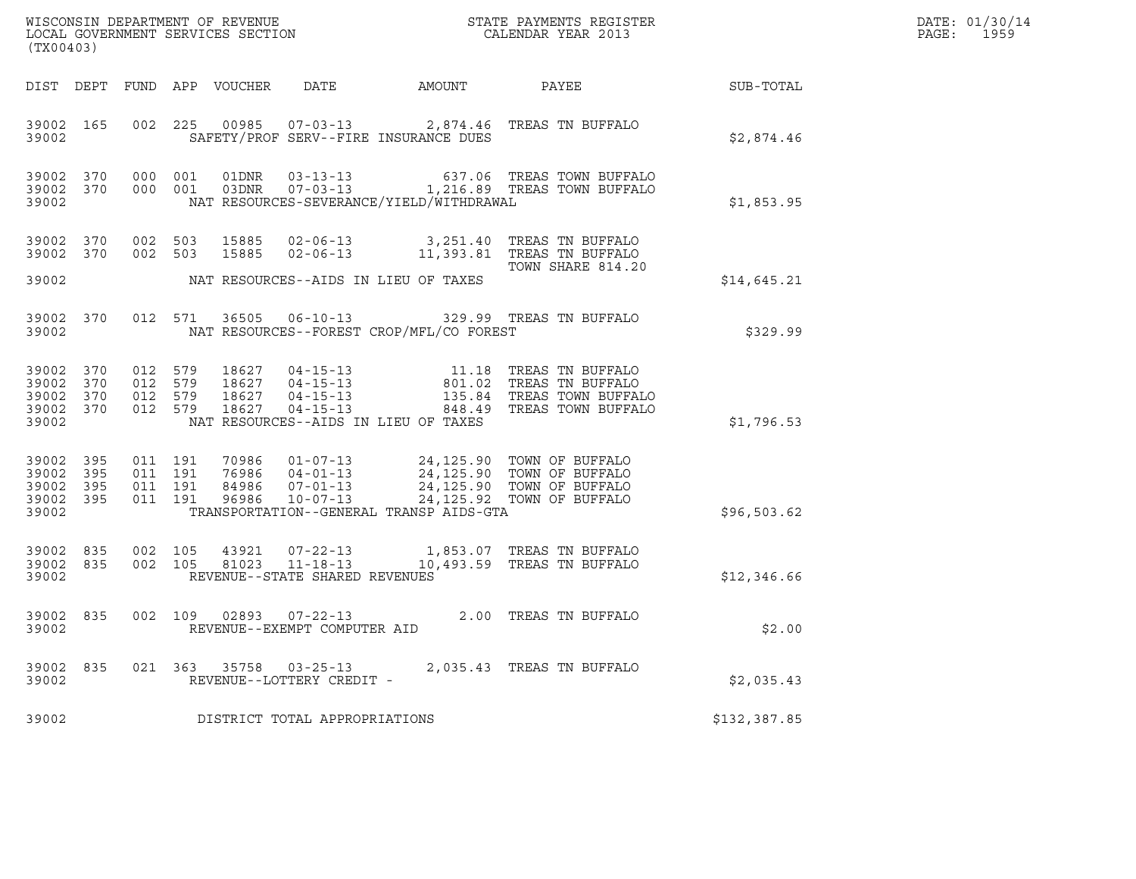| DATE: | 01/30/14 |
|-------|----------|
| PAGE: | 1959     |

| $\tt WISCONSIM DEPARTMENT OF REVENUE$ $\tt WISCONS IN DEPARTMENT SERVICES SECTION$ $\tt SCALENDAR YEAR$ $2013$<br>(TX00403) |            |     |                                          |                  |                                                              |                                          |                                                                                                                                                                                                     | DATE: 01/30/14<br>PAGE:<br>1959 |  |
|-----------------------------------------------------------------------------------------------------------------------------|------------|-----|------------------------------------------|------------------|--------------------------------------------------------------|------------------------------------------|-----------------------------------------------------------------------------------------------------------------------------------------------------------------------------------------------------|---------------------------------|--|
|                                                                                                                             | DIST DEPT  |     |                                          | FUND APP VOUCHER | DATE                                                         | AMOUNT                                   | PAYEE                                                                                                                                                                                               | SUB-TOTAL                       |  |
| 39002 165<br>39002                                                                                                          |            |     | 002 225                                  |                  |                                                              | SAFETY/PROF SERV--FIRE INSURANCE DUES    | 00985  07-03-13  2,874.46  TREAS TN BUFFALO                                                                                                                                                         | \$2,874.46                      |  |
| 39002 370<br>39002 370<br>39002                                                                                             |            |     | 000 001<br>000 001                       | 01DNR            | $03 - 13 - 13$                                               | NAT RESOURCES-SEVERANCE/YIELD/WITHDRAWAL | 637.06 TREAS TOWN BUFFALO<br>03DNR  07-03-13  1,216.89 TREAS TOWN BUFFALO                                                                                                                           | \$1,853.95                      |  |
| 39002<br>39002 370<br>39002                                                                                                 | 370        |     | 002 503<br>002 503                       | 15885<br>15885   | $02 - 06 - 13$                                               | NAT RESOURCES--AIDS IN LIEU OF TAXES     | 02-06-13 3,251.40 TREAS TN BUFFALO<br>11,393.81 TREAS TN BUFFALO<br>TOWN SHARE 814.20                                                                                                               | \$14,645.21                     |  |
| 39002<br>39002                                                                                                              | 370        |     | 012 571                                  | 36505            |                                                              | NAT RESOURCES--FOREST CROP/MFL/CO FOREST | 06-10-13 329.99 TREAS TN BUFFALO                                                                                                                                                                    | \$329.99                        |  |
| 39002<br>39002 370<br>39002<br>39002 370<br>39002                                                                           | 370<br>370 |     | 012 579<br>012 579<br>012 579<br>012 579 | 18627<br>18627   | $04 - 15 - 13$                                               | NAT RESOURCES--AIDS IN LIEU OF TAXES     | 18627  04-15-13   11.18   TREAS TN BUFFALO<br>18627  04-15-13   801.02   TREAS TN BUFFALO<br>18627  04-15-13   135.84   TREAS TOWN BUFFAI<br>135.84 TREAS TOWN BUFFALO<br>848.49 TREAS TOWN BUFFALO | \$1,796.53                      |  |
| 39002 395<br>39002<br>39002 395<br>39002 395<br>39002                                                                       | 395        |     | 011 191<br>011 191<br>011 191<br>011 191 |                  | 76986 04-01-13                                               | TRANSPORTATION--GENERAL TRANSP AIDS-GTA  | 70986  01-07-13  24,125.90  TOWN OF BUFFALO<br>24, 125.90 TOWN OF BUFFALO<br>24,125.90 TOWN OF BUFFALO<br>24,125.92 TOWN OF BUFFALO                                                                 | \$96,503.62                     |  |
| 39002<br>39002 835<br>39002                                                                                                 | 835        | 002 | 105<br>002 105                           | 43921<br>81023   | $07 - 22 - 13$<br>11-18-13<br>REVENUE--STATE SHARED REVENUES |                                          | 1,853.07 TREAS TN BUFFALO<br>10,493.59 TREAS TN BUFFALO                                                                                                                                             | \$12,346.66                     |  |
| 39002 835<br>39002                                                                                                          |            |     | 002 109                                  | 02893            | $07 - 22 - 13$<br>REVENUE--EXEMPT COMPUTER AID               |                                          | 2.00 TREAS TN BUFFALO                                                                                                                                                                               | \$2.00                          |  |
| 39002<br>39002                                                                                                              | 835        |     |                                          |                  | 021 363 35758 03-25-13<br>REVENUE--LOTTERY CREDIT -          |                                          | 2,035.43 TREAS TN BUFFALO                                                                                                                                                                           | \$2,035.43                      |  |
| 39002                                                                                                                       |            |     |                                          |                  | DISTRICT TOTAL APPROPRIATIONS                                |                                          |                                                                                                                                                                                                     | \$132,387.85                    |  |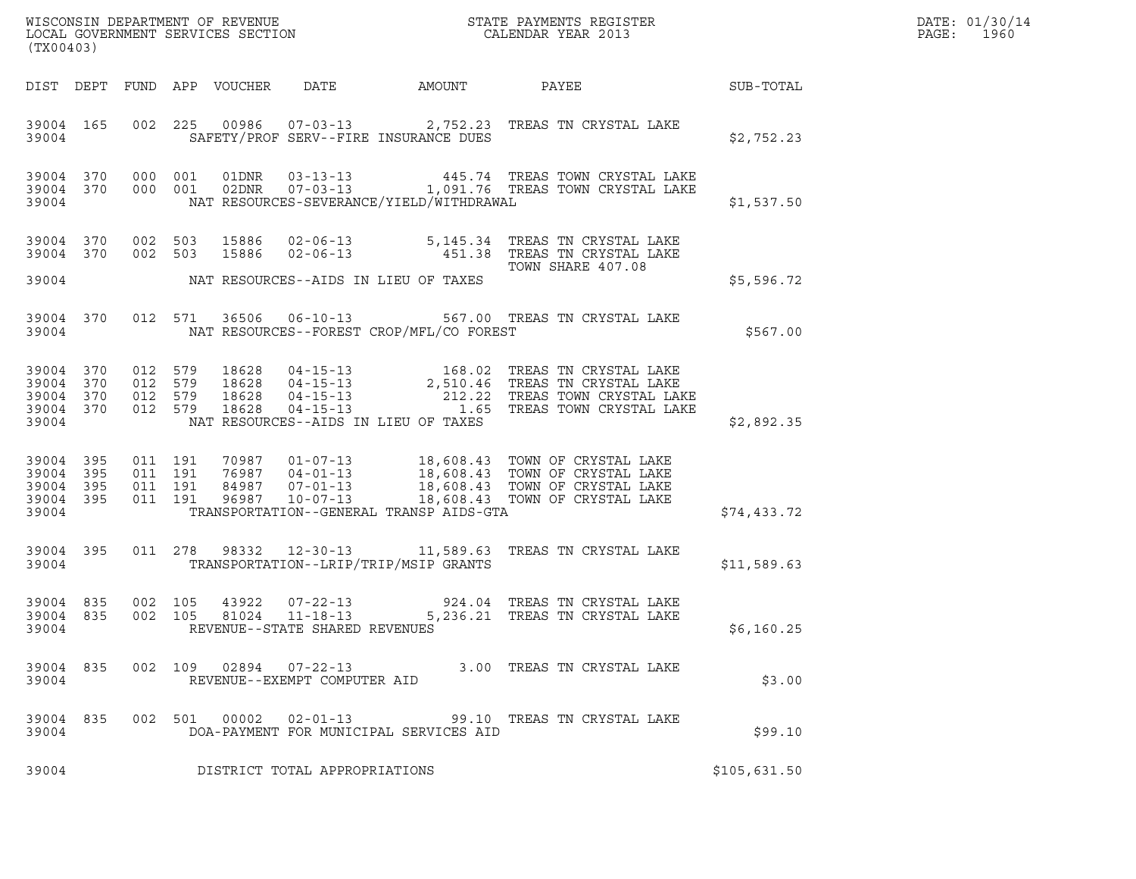| DATE: | 01/30/14 |
|-------|----------|
| PAGE: | 1960     |

| WISCONSIN DEPARTMENT OF REVENUE ${\small \begin{array}{ll} \text{MISCONS} \text{IN} \text{DEPATH} \\ \text{LOCAL} \text{ GOVERNMENT} \text{ SERVICES} \text{SECTION} \\ \end{array} }$<br>(TX00403) |                                                  |                               |         |                            |                                |                                            |                                                                                                                                                                                                                              |              | DATE: 01/30/14<br>PAGE:<br>1960 |
|-----------------------------------------------------------------------------------------------------------------------------------------------------------------------------------------------------|--------------------------------------------------|-------------------------------|---------|----------------------------|--------------------------------|--------------------------------------------|------------------------------------------------------------------------------------------------------------------------------------------------------------------------------------------------------------------------------|--------------|---------------------------------|
|                                                                                                                                                                                                     |                                                  |                               |         | DIST DEPT FUND APP VOUCHER |                                | DATE AMOUNT                                | PAYEE SUB-TOTAL                                                                                                                                                                                                              |              |                                 |
| 39004                                                                                                                                                                                               | 39004 165                                        |                               |         |                            |                                | SAFETY/PROF SERV--FIRE INSURANCE DUES      | 002 225 00986 07-03-13 2,752.23 TREAS TN CRYSTAL LAKE                                                                                                                                                                        | \$2,752.23   |                                 |
| 39004                                                                                                                                                                                               | 39004 370                                        | 39004 370 000 001             |         |                            |                                | NAT RESOURCES-SEVERANCE/YIELD/WITHDRAWAL   | 000 001 01DNR 03-13-13 445.74 TREAS TOWN CRYSTAL LAKE 000 001 02DNR 07-03-13 1,091.76 TREAS TOWN CRYSTAL LAKE                                                                                                                | \$1,537.50   |                                 |
|                                                                                                                                                                                                     | 39004 370<br>39004 370                           | 002 503<br>002 503            |         |                            |                                |                                            | 15886  02-06-13   5,145.34   TREAS TN CRYSTAL LAKE<br>15886  02-06-13   451.38   TREAS TN CRYSTAL LAKE                                                                                                                       |              |                                 |
|                                                                                                                                                                                                     |                                                  |                               |         |                            |                                | 39004 NAT RESOURCES--AIDS IN LIEU OF TAXES | TOWN SHARE 407.08                                                                                                                                                                                                            | \$5,596.72   |                                 |
| 39004                                                                                                                                                                                               | 39004 370                                        |                               |         |                            |                                | NAT RESOURCES--FOREST CROP/MFL/CO FOREST   | 012 571 36506 06-10-13 567.00 TREAS TN CRYSTAL LAKE                                                                                                                                                                          | \$567.00     |                                 |
|                                                                                                                                                                                                     | 39004 370<br>39004 370<br>39004 370<br>39004 370 |                               |         |                            |                                | 39004 NAT RESOURCES--AIDS IN LIEU OF TAXES | 012 579 18628 04-15-13 168.02 TREAS TN CRYSTAL LAKE<br>012 579 18628 04-15-13 2,510.46 TREAS TN CRYSTAL LAKE<br>012 579 18628 04-15-13 212.22 TREAS TOWN CRYSTAL LAKE<br>012 579 18628 04-15-13 1.65 TREAS TOWN CRYSTAL LAKE | \$2,892.35   |                                 |
| 39004 395<br>39004 395<br>39004 395<br>39004                                                                                                                                                        | 39004 395                                        | 011 191<br>011 191<br>011 191 | 011 191 |                            |                                | TRANSPORTATION--GENERAL TRANSP AIDS-GTA    | 70987  01-07-13  18,608.43  TOWN OF CRYSTAL LAKE<br>76987  04-01-13  18,608.43  TOWN OF CRYSTAL LAKE<br>84987  07-01-13  18,608.43  TOWN OF CRYSTAL LAKE<br>96987  10-07-13  18,608.43  TOWN OF CRYSTAL LAKE                 | \$74,433.72  |                                 |
|                                                                                                                                                                                                     | 39004 395                                        | 39004                         |         |                            |                                | TRANSPORTATION--LRIP/TRIP/MSIP GRANTS      | 011  278  98332  12-30-13  11,589.63  TREAS TN CRYSTAL LAKE                                                                                                                                                                  | \$11,589.63  |                                 |
| 39004 835<br>39004 835<br>39004                                                                                                                                                                     |                                                  | 002 105<br>002 105            |         |                            | REVENUE--STATE SHARED REVENUES |                                            | $\begin{array}{cccc} 43922 & 07\text{-}22\text{-}13 & 924.04 & \text{TREAS TN CRYSTAL LAKE} \\ 81024 & 11\text{-}18\text{-}13 & 5,236.21 & \text{TREAS TN CRYSTAL LAKE} \end{array}$                                         | \$6,160.25   |                                 |
| 39004                                                                                                                                                                                               | 39004 835                                        |                               |         |                            | REVENUE--EXEMPT COMPUTER AID   |                                            | 002  109  02894  07-22-13  3.00 TREAS TN CRYSTAL LAKE                                                                                                                                                                        | \$3.00       |                                 |
| 39004                                                                                                                                                                                               | 39004 835                                        |                               |         |                            |                                | DOA-PAYMENT FOR MUNICIPAL SERVICES AID     | 002 501 00002 02-01-13 99.10 TREAS TN CRYSTAL LAKE                                                                                                                                                                           | \$99.10      |                                 |
| 39004                                                                                                                                                                                               |                                                  |                               |         |                            | DISTRICT TOTAL APPROPRIATIONS  |                                            |                                                                                                                                                                                                                              | \$105,631.50 |                                 |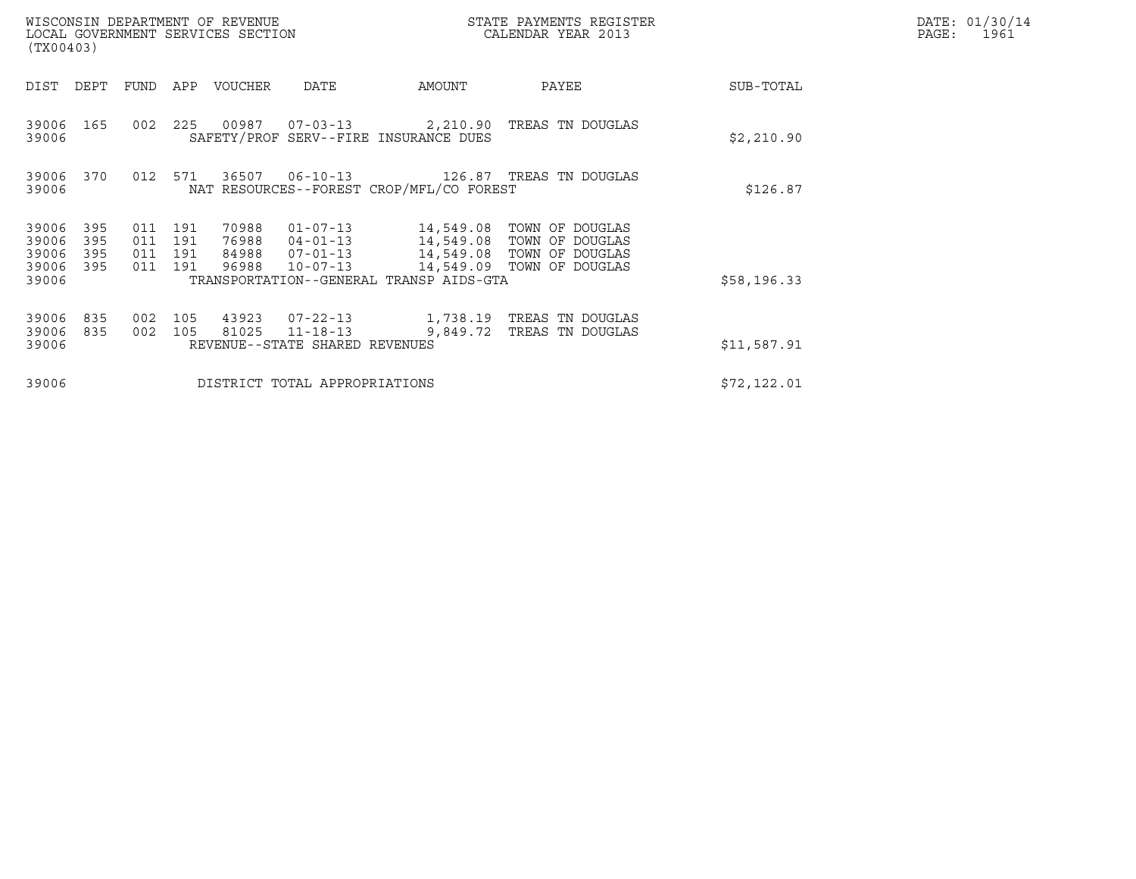| WISCONSIN DEPARTMENT OF REVENUE<br>LOCAL GOVERNMENT SERVICES SECTION<br>(TX00403) |                                                      |                                  |                                                                      | STATE PAYMENTS REGISTER<br>CALENDAR YEAR 2013 |                                                                                                                  | DATE: 01/30/14<br>$\mathtt{PAGE:}$<br>1961 |  |
|-----------------------------------------------------------------------------------|------------------------------------------------------|----------------------------------|----------------------------------------------------------------------|-----------------------------------------------|------------------------------------------------------------------------------------------------------------------|--------------------------------------------|--|
| DIST<br>DEPT                                                                      | FUND<br>APP                                          | VOUCHER                          | DATE                                                                 | AMOUNT                                        | PAYEE                                                                                                            | SUB-TOTAL                                  |  |
| 39006 165<br>39006                                                                | 002<br>225                                           |                                  |                                                                      | SAFETY/PROF SERV--FIRE INSURANCE DUES         | 00987  07-03-13  2,210.90  TREAS TN DOUGLAS                                                                      | \$2,210.90                                 |  |
| 39006<br>370<br>39006                                                             | 012 571                                              |                                  | 36507 06-10-13<br>NAT RESOURCES--FOREST CROP/MFL/CO FOREST           | \$126.87                                      |                                                                                                                  |                                            |  |
| 39006<br>395<br>39006<br>395<br>395<br>39006<br>395<br>39006                      | 011<br>191<br>011<br>191<br>191<br>011<br>011<br>191 | 70988<br>76988<br>84988<br>96988 | $01 - 07 - 13$<br>$04 - 01 - 13$<br>$07 - 01 - 13$<br>$10 - 07 - 13$ |                                               | 14,549.08 TOWN OF DOUGLAS<br>14,549.08 TOWN OF DOUGLAS<br>14,549.08 TOWN OF DOUGLAS<br>14,549.09 TOWN OF DOUGLAS |                                            |  |
| 39006                                                                             |                                                      |                                  |                                                                      | TRANSPORTATION--GENERAL TRANSP AIDS-GTA       |                                                                                                                  | \$58,196.33                                |  |
| 39006<br>835<br>39006<br>835<br>39006                                             | 002<br>105<br>0 <sub>02</sub><br>105                 | 43923<br>81025                   | $07 - 22 - 13$<br>$11 - 18 - 13$<br>REVENUE--STATE SHARED REVENUES   | 1,738.19<br>9,849.72                          | TREAS TN DOUGLAS<br>TREAS TN DOUGLAS                                                                             | \$11,587.91                                |  |
| 39006                                                                             |                                                      |                                  | DISTRICT TOTAL APPROPRIATIONS                                        |                                               |                                                                                                                  | \$72,122.01                                |  |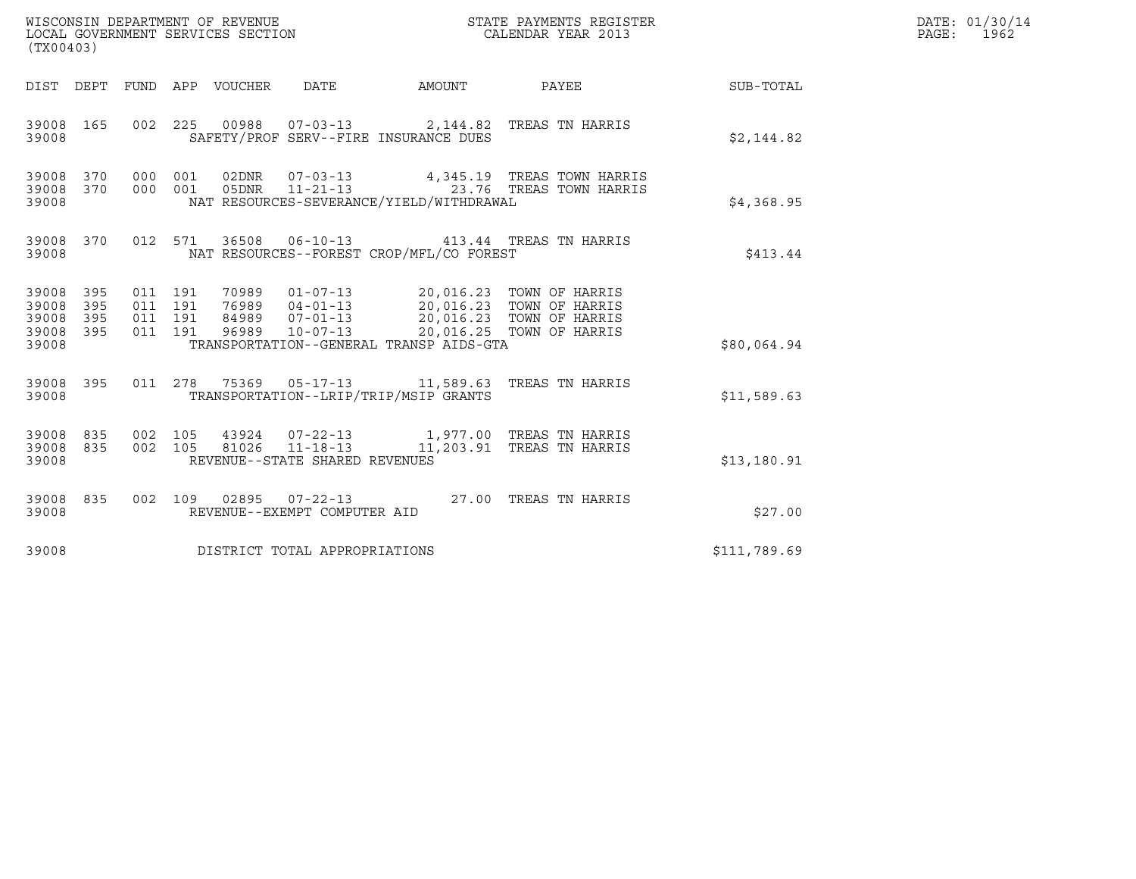| (TX00403)                                         |            |                                          | WISCONSIN DEPARTMENT OF REVENUE<br>LOCAL GOVERNMENT SERVICES SECTION |                                                  |                                          | STATE PAYMENTS REGISTER<br>CALENDAR YEAR 2013                                                                                                            |                  | DATE: 01/30/14<br>PAGE: 1962 |
|---------------------------------------------------|------------|------------------------------------------|----------------------------------------------------------------------|--------------------------------------------------|------------------------------------------|----------------------------------------------------------------------------------------------------------------------------------------------------------|------------------|------------------------------|
|                                                   |            |                                          | DIST DEPT FUND APP VOUCHER DATE                                      |                                                  | AMOUNT PAYEE                             |                                                                                                                                                          | <b>SUB-TOTAL</b> |                              |
| 39008 165<br>39008                                |            |                                          |                                                                      |                                                  | SAFETY/PROF SERV--FIRE INSURANCE DUES    | 002 225 00988 07-03-13 2,144.82 TREAS TN HARRIS                                                                                                          | \$2,144.82       |                              |
| 39008 370 000 001<br>39008 370<br>39008           |            | 000 001                                  |                                                                      |                                                  | NAT RESOURCES-SEVERANCE/YIELD/WITHDRAWAL |                                                                                                                                                          | \$4,368.95       |                              |
| 39008                                             |            |                                          |                                                                      |                                                  | NAT RESOURCES--FOREST CROP/MFL/CO FOREST | 39008 370 012 571 36508 06-10-13 413.44 TREAS TN HARRIS                                                                                                  | \$413.44         |                              |
| 39008 395<br>39008<br>39008<br>39008 395<br>39008 | 395<br>395 | 011 191<br>011 191<br>011 191<br>011 191 |                                                                      |                                                  | TRANSPORTATION--GENERAL TRANSP AIDS-GTA  | 70989  01-07-13  20,016.23  TOWN OF HARRIS<br>76989 04-01-13<br>84989 07-01-13<br>96989 10-07-13<br>20,016.23 TOWN OF HARRIS<br>20,016.25 TOWN OF HARRIS | \$80,064.94      |                              |
| 39008 395<br>39008                                |            |                                          |                                                                      |                                                  | TRANSPORTATION--LRIP/TRIP/MSIP GRANTS    | 011  278  75369  05-17-13  11,589.63  TREAS TN HARRIS                                                                                                    | \$11,589.63      |                              |
| 39008 835 002 105<br>39008 835<br>39008           |            | 002 105                                  |                                                                      | 81026 11-18-13<br>REVENUE--STATE SHARED REVENUES |                                          | 43924  07-22-13  1,977.00 TREAS TN HARRIS<br>11,203.91 TREAS TN HARRIS                                                                                   | \$13,180.91      |                              |
| 39008 835<br>39008                                |            |                                          |                                                                      | REVENUE--EXEMPT COMPUTER AID                     |                                          | 002 109 02895 07-22-13 27.00 TREAS TN HARRIS                                                                                                             | \$27.00          |                              |
| 39008                                             |            |                                          |                                                                      | DISTRICT TOTAL APPROPRIATIONS                    |                                          |                                                                                                                                                          | \$111,789.69     |                              |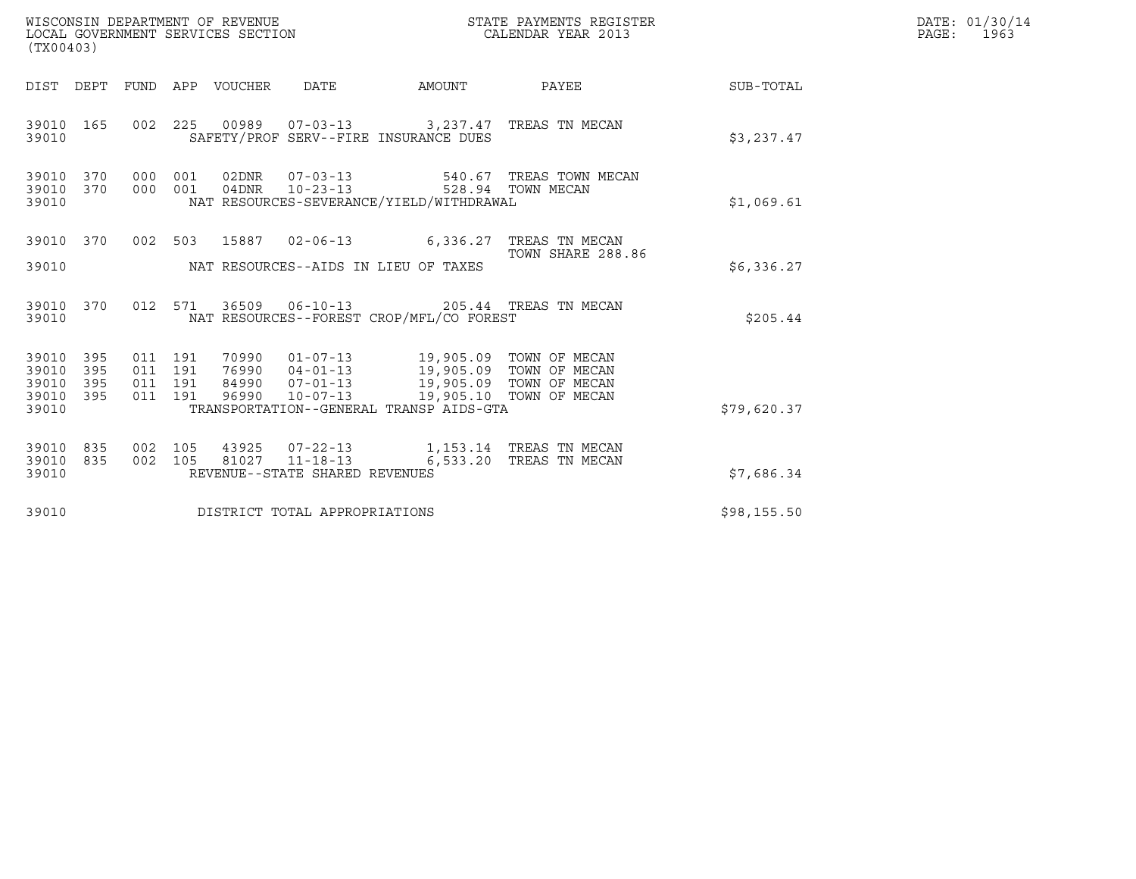| WISCONSIN DEPARTMENT OF REVENUE<br>WISCONSIN DEPARTMENT OF REVENUE<br>LOCAL GOVERNMENT SERVICES SECTION<br>(TX00403) |            |                                          |            |                            |                                                  | STATE PAYMENTS REGISTER<br>CALENDAR YEAR 2013                                                                                                                                                   |                                                                        | DATE: 01/30/14<br>PAGE: 1963 |  |
|----------------------------------------------------------------------------------------------------------------------|------------|------------------------------------------|------------|----------------------------|--------------------------------------------------|-------------------------------------------------------------------------------------------------------------------------------------------------------------------------------------------------|------------------------------------------------------------------------|------------------------------|--|
|                                                                                                                      |            |                                          |            | DIST DEPT FUND APP VOUCHER | DATE                                             | AMOUNT                                                                                                                                                                                          | PAYEE                                                                  | SUB-TOTAL                    |  |
| 39010 165<br>39010                                                                                                   |            |                                          |            |                            |                                                  | SAFETY/PROF SERV--FIRE INSURANCE DUES                                                                                                                                                           | 002 225 00989 07-03-13 3,237.47 TREAS TN MECAN                         | \$3,237.47                   |  |
| 39010 370<br>39010 370<br>39010                                                                                      |            | 000<br>000                               | 001<br>001 |                            | 04DNR 10-23-13                                   | NAT RESOURCES-SEVERANCE/YIELD/WITHDRAWAL                                                                                                                                                        | 540.67 TREAS TOWN MECAN<br>528.94 TOWN MECAN                           | \$1,069.61                   |  |
|                                                                                                                      | 39010 370  |                                          |            |                            |                                                  |                                                                                                                                                                                                 | 002 503 15887 02-06-13 6,336.27 TREAS TN MECAN                         |                              |  |
| 39010                                                                                                                |            |                                          |            |                            | NAT RESOURCES--AIDS IN LIEU OF TAXES             |                                                                                                                                                                                                 | TOWN SHARE 288.86                                                      | \$6,336.27                   |  |
| 39010 370<br>39010                                                                                                   |            |                                          | 012 571    |                            |                                                  | NAT RESOURCES--FOREST CROP/MFL/CO FOREST                                                                                                                                                        | 36509   06-10-13   205.44   TREAS TN MECAN                             | \$205.44                     |  |
| 39010 395<br>39010<br>39010<br>39010 395<br>39010                                                                    | 395<br>395 | 011 191<br>011 191<br>011 191<br>011 191 |            |                            |                                                  | 19,905.09 TOWN OF MECAN<br>76990 01-07-13 19,905.09 TOWN OF MECAN<br>9890 07-01-13 19,905.09 TOWN OF MECAN<br>96990 10-07-13 19,905.10 TOWN OF MECAN<br>TRANSPORTATION--GENERAL TRANSP AIDS-GTA |                                                                        | \$79,620.37                  |  |
| 39010 835<br>39010 835<br>39010                                                                                      |            | 002 105<br>002 105                       |            |                            | 81027 11-18-13<br>REVENUE--STATE SHARED REVENUES |                                                                                                                                                                                                 | 43925  07-22-13   1,153.14   TREAS TN MECAN<br>6,533.20 TREAS TN MECAN | \$7,686.34                   |  |
| 39010                                                                                                                |            |                                          |            |                            | DISTRICT TOTAL APPROPRIATIONS                    |                                                                                                                                                                                                 |                                                                        | \$98,155.50                  |  |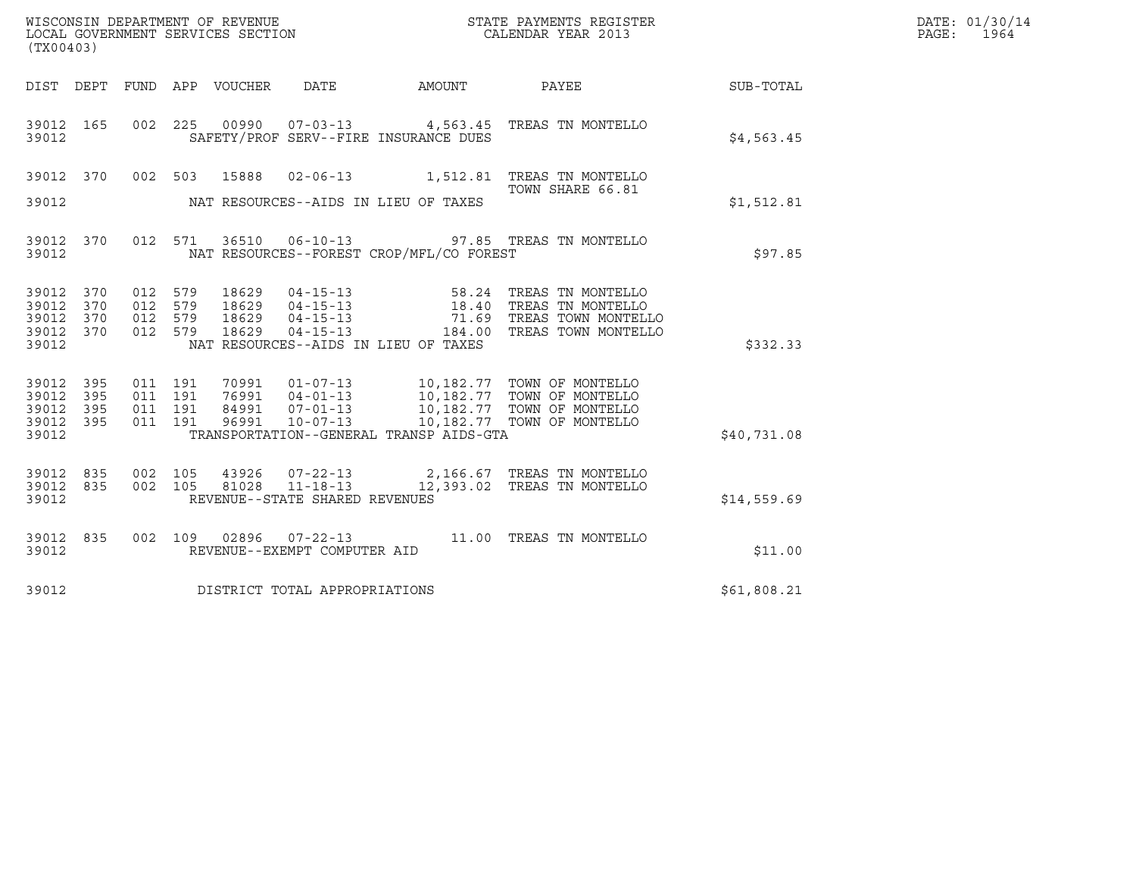| WISCONSIN DEPARTMENT OF REVENUE   | STATE PAYMENTS REGISTER | DATE: 01/30/14 |
|-----------------------------------|-------------------------|----------------|
| LOCAL GOVERNMENT SERVICES SECTION | CALENDAR YEAR 2013      | 1964<br>PAGE:  |

| WISCONSIN DEPARTMENT OF REVENUE<br>LOCAL GOVERNMENT SERVICES SECTION TERMS OF THE CALENDAR YEAR 2013<br>(TX00403) |           |  |  |  |                                     |                                                |                                                                                                                                                                                                               |             | DATE: 01/30/14<br>PAGE: 1964 |
|-------------------------------------------------------------------------------------------------------------------|-----------|--|--|--|-------------------------------------|------------------------------------------------|---------------------------------------------------------------------------------------------------------------------------------------------------------------------------------------------------------------|-------------|------------------------------|
|                                                                                                                   |           |  |  |  |                                     |                                                | DIST DEPT FUND APP VOUCHER DATE AMOUNT PAYEE SUB-TOTAL                                                                                                                                                        |             |                              |
| 39012                                                                                                             |           |  |  |  |                                     | SAFETY/PROF SERV--FIRE INSURANCE DUES          | 39012 165 002 225 00990 07-03-13 4,563.45 TREAS TN MONTELLO                                                                                                                                                   | \$4,563.45  |                              |
|                                                                                                                   |           |  |  |  |                                     |                                                | 39012 370 002 503 15888 02-06-13 1,512.81 TREAS TN MONTELLO<br>TOWN SHARE 66.81                                                                                                                               |             |                              |
|                                                                                                                   |           |  |  |  |                                     | 39012 NAT RESOURCES--AIDS IN LIEU OF TAXES     |                                                                                                                                                                                                               | \$1,512.81  |                              |
|                                                                                                                   |           |  |  |  |                                     | 39012 NAT RESOURCES--FOREST CROP/MFL/CO FOREST | 39012 370 012 571 36510 06-10-13 97.85 TREAS TN MONTELLO                                                                                                                                                      | \$97.85     |                              |
| 39012 370                                                                                                         | 39012 370 |  |  |  |                                     |                                                | 012 579 18629 04-15-13 58.24 TREAS TN MONTELLO<br>012 579 18629 04-15-13 18.40 TREAS TN MONTELLO<br>012 579 18629 04-15-13 71.69 TREAS TOWN MONTELLO<br>012 579 18629 04-15-13 184.00 TREAS TOWN MONTELLO     |             |                              |
| 39012 370<br>39012 370<br>39012                                                                                   |           |  |  |  |                                     | NAT RESOURCES--AIDS IN LIEU OF TAXES           |                                                                                                                                                                                                               | \$332.33    |                              |
| 39012 395<br>39012 395                                                                                            |           |  |  |  |                                     |                                                | 011 191 70991 01-07-13 10,182.77 TOWN OF MONTELLO<br>011 191 76991 04-01-13 10,182.77 TOWN OF MONTELLO<br>011 191 84991 07-01-13 10,182.77 TOWN OF MONTELLO<br>011 191 19201 10-07-13                         |             |                              |
| 39012 395                                                                                                         | 39012 395 |  |  |  |                                     | 39012 TRANSPORTATION--GENERAL TRANSP AIDS-GTA  |                                                                                                                                                                                                               | \$40,731.08 |                              |
|                                                                                                                   |           |  |  |  |                                     |                                                | $\begin{array}{cccccc} 39012 & 835 & 002 & 105 & 43926 & 07-22-13 & & 2,166.67 & \text{TREAS TN MONTELLO} \\ 39012 & 835 & 002 & 105 & 81028 & 11-18-13 & & 12,393.02 & \text{TREAS TN MONTELLO} \end{array}$ |             |                              |
| 39012                                                                                                             |           |  |  |  | REVENUE--STATE SHARED REVENUES      |                                                |                                                                                                                                                                                                               | \$14,559.69 |                              |
| 39012                                                                                                             |           |  |  |  | REVENUE--EXEMPT COMPUTER AID        |                                                | 39012 835 002 109 02896 07-22-13 11.00 TREAS TN MONTELLO                                                                                                                                                      | \$11.00     |                              |
|                                                                                                                   |           |  |  |  | 39012 DISTRICT TOTAL APPROPRIATIONS |                                                |                                                                                                                                                                                                               | \$61,808.21 |                              |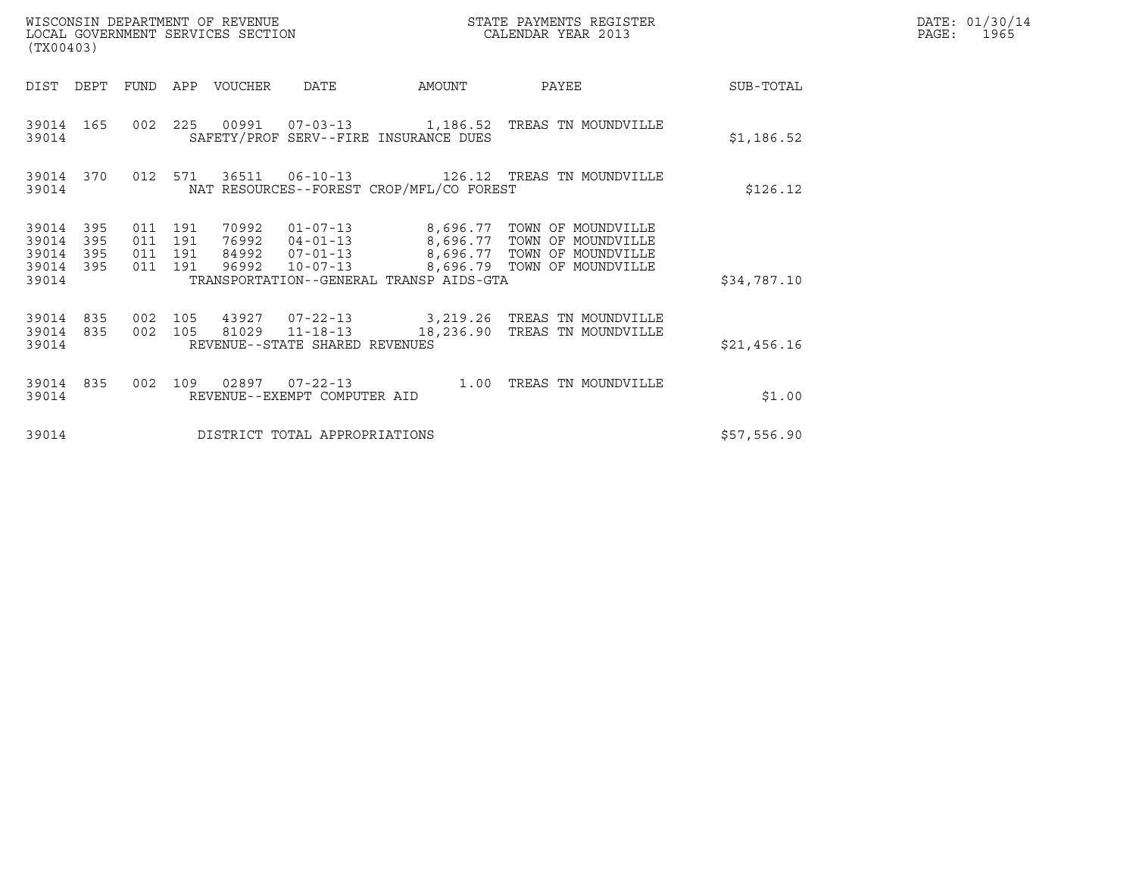| WISCONSIN DEPARTMENT OF REVENUE<br>LOCAL GOVERNMENT SERVICES SECTION<br>(TX00403) |                          |                                          |  |                                 |                                | STATE PAYMENTS REGISTER<br>CALENDAR YEAR 2013 |                                                                                                                               |             | DATE: 01/30/14<br>PAGE: 1965 |
|-----------------------------------------------------------------------------------|--------------------------|------------------------------------------|--|---------------------------------|--------------------------------|-----------------------------------------------|-------------------------------------------------------------------------------------------------------------------------------|-------------|------------------------------|
|                                                                                   |                          |                                          |  | DIST DEPT FUND APP VOUCHER DATE |                                | <b>AMOUNT</b>                                 | <b>PAYEE</b>                                                                                                                  | SUB-TOTAL   |                              |
| 39014                                                                             |                          |                                          |  |                                 |                                | SAFETY/PROF SERV--FIRE INSURANCE DUES         | 39014 165 002 225 00991 07-03-13 1,186.52 TREAS TN MOUNDVILLE                                                                 | \$1,186.52  |                              |
| 39014                                                                             | 39014 370                | 012 571                                  |  |                                 |                                | NAT RESOURCES--FOREST CROP/MFL/CO FOREST      |                                                                                                                               | \$126.12    |                              |
| 39014<br>39014<br>39014<br>39014<br>39014                                         | 395<br>395<br>395<br>395 | 011 191<br>011 191<br>011 191<br>011 191 |  | 96992                           | $10 - 07 - 13$                 | TRANSPORTATION--GENERAL TRANSP AIDS-GTA       | 76992  04-01-13  8,696.77  TOWN OF MOUNDVILLE<br>84992  07-01-13  8,696.77  TOWN OF MOUNDVILLE<br>8,696.79 TOWN OF MOUNDVILLE | \$34,787.10 |                              |
| 39014<br>39014<br>39014                                                           | 835<br>835               | 002 105<br>002 105                       |  |                                 | REVENUE--STATE SHARED REVENUES |                                               | 43927  07-22-13  3,219.26  TREAS TN MOUNDVILLE<br>81029  11-18-13  18,236.90 TREAS TN MOUNDVILLE                              | \$21,456.16 |                              |
| 39014                                                                             | 39014 835                | 002 109                                  |  |                                 | REVENUE--EXEMPT COMPUTER AID   | $02897$ $07-22-13$ $1.00$                     | TREAS TN MOUNDVILLE                                                                                                           | \$1.00      |                              |
| 39014                                                                             |                          |                                          |  |                                 | DISTRICT TOTAL APPROPRIATIONS  |                                               |                                                                                                                               | \$57,556.90 |                              |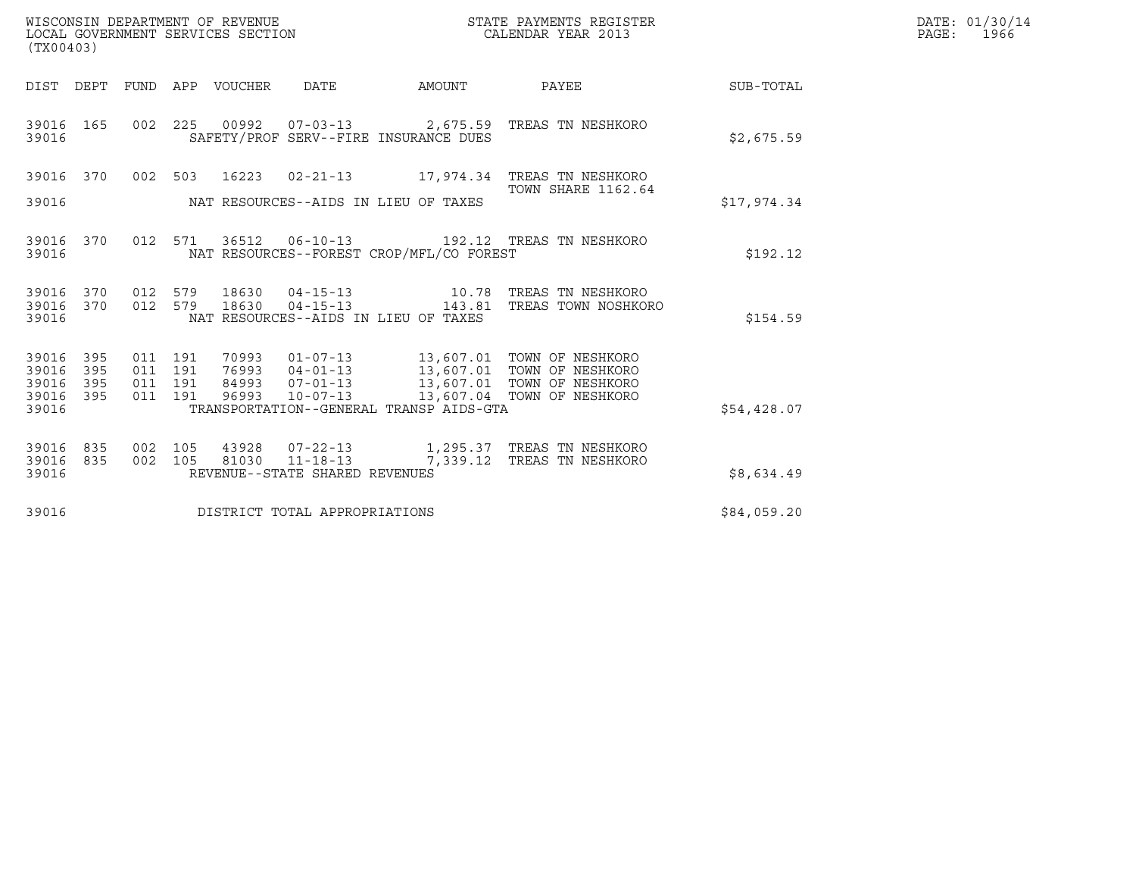| (TX00403)                                 |                          |                                          | WISCONSIN DEPARTMENT OF REVENUE<br>LOCAL GOVERNMENT SERVICES SECTION |                                |                                          | STATE PAYMENTS REGISTER<br>CALENDAR YEAR 2013                                                                                                                                                |             | DATE: 01/30/14<br>PAGE: 1966 |
|-------------------------------------------|--------------------------|------------------------------------------|----------------------------------------------------------------------|--------------------------------|------------------------------------------|----------------------------------------------------------------------------------------------------------------------------------------------------------------------------------------------|-------------|------------------------------|
|                                           | DIST DEPT                |                                          | FUND APP VOUCHER                                                     | DATE                           | AMOUNT                                   | PAYEE                                                                                                                                                                                        | SUB-TOTAL   |                              |
| 39016 165<br>39016                        |                          |                                          |                                                                      |                                | SAFETY/PROF SERV--FIRE INSURANCE DUES    | 002 225 00992 07-03-13 2,675.59 TREAS TN NESHKORO                                                                                                                                            | \$2,675.59  |                              |
|                                           |                          |                                          |                                                                      |                                |                                          | 39016 370 002 503 16223 02-21-13 17,974.34 TREAS TN NESHKORO                                                                                                                                 |             |                              |
| 39016                                     |                          |                                          |                                                                      |                                | NAT RESOURCES--AIDS IN LIEU OF TAXES     | <b>TOWN SHARE 1162.64</b>                                                                                                                                                                    | \$17,974.34 |                              |
| 39016                                     | 39016 370                |                                          |                                                                      |                                | NAT RESOURCES--FOREST CROP/MFL/CO FOREST | 012 571 36512 06-10-13 192.12 TREAS TN NESHKORO                                                                                                                                              | \$192.12    |                              |
| 39016<br>39016                            | 39016 370<br>370         | 012 579<br>012 579                       | 18630<br>18630                                                       |                                | NAT RESOURCES--AIDS IN LIEU OF TAXES     | 04-15-13 10.78 TREAS TN NESHKORO<br>04-15-13 143.81 TREAS TOWN NOSHKORO                                                                                                                      | \$154.59    |                              |
| 39016<br>39016<br>39016<br>39016<br>39016 | 395<br>395<br>395<br>395 | 011 191<br>011 191<br>011 191<br>011 191 |                                                                      |                                | TRANSPORTATION--GENERAL TRANSP AIDS-GTA  | 70993  01-07-13  13,607.01  TOWN OF NESHKORO<br>76993  04-01-13  13,607.01  TOWN OF NESHKORO<br>84993  07-01-13  13,607.01  TOWN OF NESHKORO<br>96993  10-07-13  13,607.04  TOWN OF NESHKORO | \$54,428.07 |                              |
| 39016<br>39016<br>39016                   | 835<br>835               | 002 105<br>002 105                       |                                                                      | REVENUE--STATE SHARED REVENUES |                                          | 81030  11-18-13  7,339.12  TREAS TN NESHKORO                                                                                                                                                 | \$8,634.49  |                              |
| 39016                                     |                          |                                          |                                                                      | DISTRICT TOTAL APPROPRIATIONS  |                                          |                                                                                                                                                                                              | \$84,059.20 |                              |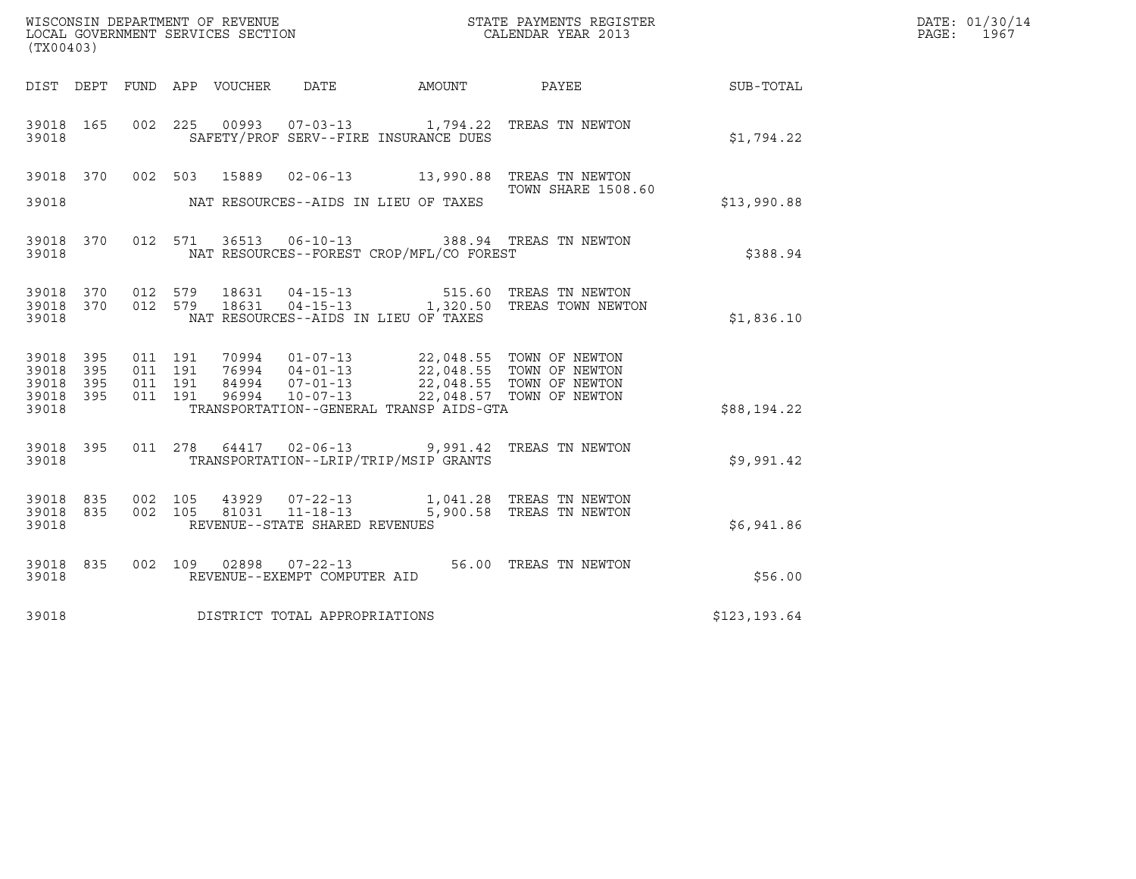| (TX00403)                                 |                          |                               |                                 |                                                  |                                          |                                                                                                                                                                                                                                                                                                                            |              | DATE: 01/30/14<br>PAGE:<br>1967 |
|-------------------------------------------|--------------------------|-------------------------------|---------------------------------|--------------------------------------------------|------------------------------------------|----------------------------------------------------------------------------------------------------------------------------------------------------------------------------------------------------------------------------------------------------------------------------------------------------------------------------|--------------|---------------------------------|
|                                           |                          |                               | DIST DEPT FUND APP VOUCHER DATE |                                                  | AMOUNT                                   | <b>PAYEE</b>                                                                                                                                                                                                                                                                                                               | SUB-TOTAL    |                                 |
| 39018 165<br>39018                        |                          | 002 225                       |                                 |                                                  | SAFETY/PROF SERV--FIRE INSURANCE DUES    | 00993  07-03-13  1,794.22  TREAS TN NEWTON                                                                                                                                                                                                                                                                                 | \$1,794.22   |                                 |
| 39018 370<br>39018                        |                          | 002 503                       | 15889                           |                                                  | NAT RESOURCES--AIDS IN LIEU OF TAXES     | 02-06-13 13,990.88 TREAS TN NEWTON<br><b>TOWN SHARE 1508.60</b>                                                                                                                                                                                                                                                            | \$13,990.88  |                                 |
| 39018                                     | 39018 370                |                               |                                 |                                                  | NAT RESOURCES--FOREST CROP/MFL/CO FOREST | 012 571 36513 06-10-13 388.94 TREAS TN NEWTON                                                                                                                                                                                                                                                                              | \$388.94     |                                 |
| 39018<br>39018                            | 39018 370 012 579<br>370 | 012 579                       | 18631                           | 18631  04-15-13                                  | NAT RESOURCES--AIDS IN LIEU OF TAXES     | 515.60 TREAS TN NEWTON<br>04-15-13 1,320.50 TREAS TOWN NEWTON                                                                                                                                                                                                                                                              | \$1,836.10   |                                 |
| 39018<br>39018<br>39018<br>39018<br>39018 | 395<br>395<br>395<br>395 | 011 191<br>011 191<br>011 191 | 011 191                         |                                                  | TRANSPORTATION--GENERAL TRANSP AIDS-GTA  | $\begin{array}{cccccc} 70994 & 01\text{--}07\text{--}13 & 22,048.55 & \text{TOWN OF NEWTON} \\ 76994 & 04\text{--}01\text{--}13 & 22,048.55 & \text{TOWN OF NEWTON} \end{array}$<br>76994  04-01-13  22,048.55  TOWN OF NEWTON<br>84994  07-01-13  22,048.55  TOWN OF NEWTON<br>96994  10-07-13  22,048.57  TOWN OF NEWTON | \$88,194.22  |                                 |
| 39018 395<br>39018                        |                          |                               |                                 |                                                  | TRANSPORTATION--LRIP/TRIP/MSIP GRANTS    | 011 278 64417 02-06-13 9,991.42 TREAS TN NEWTON                                                                                                                                                                                                                                                                            | \$9,991.42   |                                 |
| 39018<br>39018<br>39018                   | 835<br>835               | 002 105<br>002 105            | 43929<br>81031                  | $11 - 18 - 13$<br>REVENUE--STATE SHARED REVENUES |                                          | 07-22-13 1,041.28 TREAS TN NEWTON<br>5,900.58 TREAS TN NEWTON                                                                                                                                                                                                                                                              | \$6,941.86   |                                 |
| 39018 835<br>39018                        |                          |                               | 002 109 02898                   | $07 - 22 - 13$<br>REVENUE--EXEMPT COMPUTER AID   |                                          | 56.00 TREAS TN NEWTON                                                                                                                                                                                                                                                                                                      | \$56.00      |                                 |
| 39018                                     |                          |                               | DISTRICT TOTAL APPROPRIATIONS   |                                                  |                                          |                                                                                                                                                                                                                                                                                                                            | \$123,193.64 |                                 |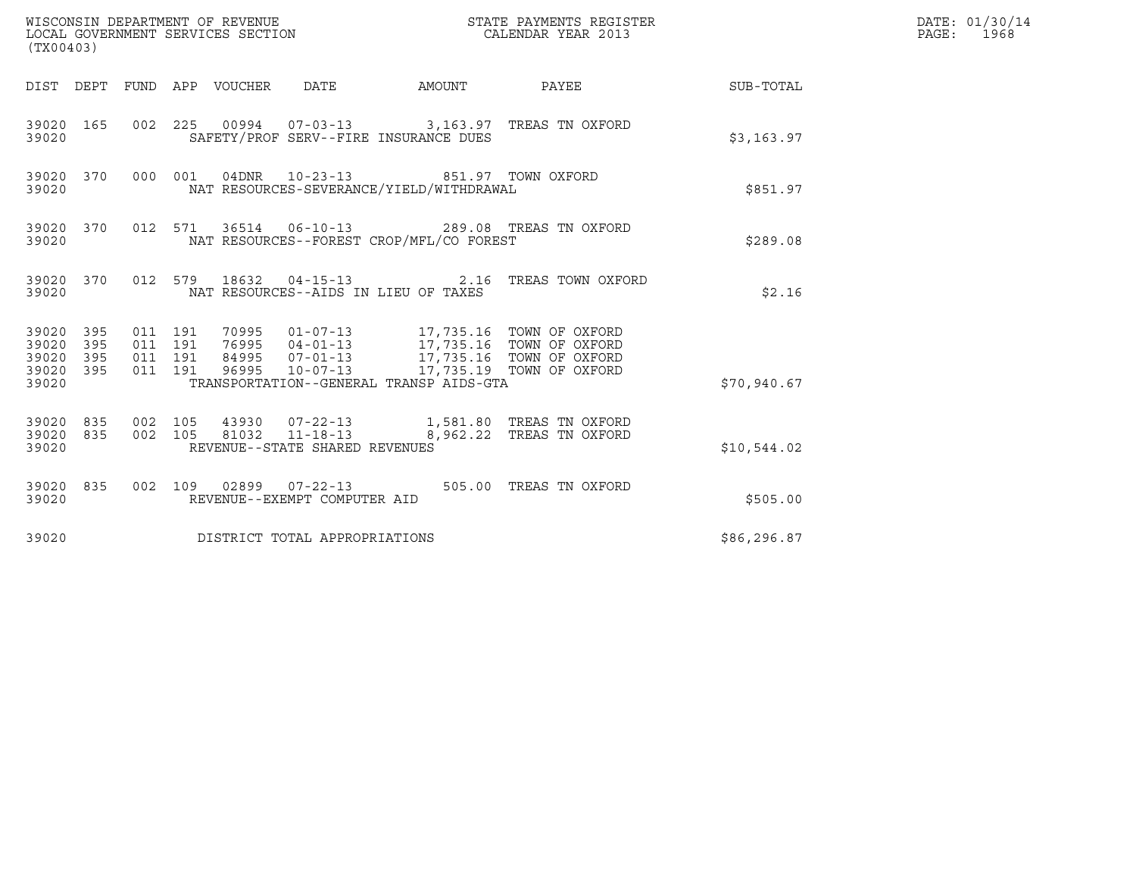| (TX00403)                                                                                                   |                                                                                                                                                                                                                        |                          |             | DATE: 01/30/14<br>PAGE: 1968 |
|-------------------------------------------------------------------------------------------------------------|------------------------------------------------------------------------------------------------------------------------------------------------------------------------------------------------------------------------|--------------------------|-------------|------------------------------|
|                                                                                                             | DIST DEPT FUND APP VOUCHER DATE AMOUNT PAYEE                                                                                                                                                                           |                          | SUB-TOTAL   |                              |
| 39020 165<br>39020                                                                                          | 002 225 00994 07-03-13 3,163.97 TREAS TN OXFORD<br>SAFETY/PROF SERV--FIRE INSURANCE DUES                                                                                                                               |                          | \$3,163.97  |                              |
| 39020 370<br>39020                                                                                          | 000 001 04DNR 10-23-13<br>NAT RESOURCES-SEVERANCE/YIELD/WITHDRAWAL                                                                                                                                                     | 851.97 TOWN OXFORD       | \$851.97    |                              |
| 39020 370<br>39020                                                                                          | 012 571 36514 06-10-13 289.08 TREAS TN OXFORD<br>NAT RESOURCES--FOREST CROP/MFL/CO FOREST                                                                                                                              |                          | \$289.08    |                              |
| 39020 370<br>39020                                                                                          | 012 579 18632 04-15-13 2.16 TREAS TOWN OXFORD<br>NAT RESOURCES--AIDS IN LIEU OF TAXES                                                                                                                                  |                          | \$2.16      |                              |
| 39020 395<br>011 191<br>011 191<br>39020<br>395<br>395<br>011 191<br>39020<br>39020 395<br>011 191<br>39020 | 70995  01-07-13  17,735.16  TOWN OF OXFORD<br>76995 04-01-13 17,735.16 TOWN OF OXFORD<br>84995 07-01-13 17,735.16 TOWN OF OXFORD<br>96995 10-07-13 17,735.19 TOWN OF OXFORD<br>TRANSPORTATION--GENERAL TRANSP AIDS-GTA |                          | \$70,940.67 |                              |
| 39020 835<br>002 105<br>002 105<br>39020 835<br>39020                                                       | 81032 11-18-13<br>REVENUE--STATE SHARED REVENUES                                                                                                                                                                       | 8,962.22 TREAS TN OXFORD | \$10,544.02 |                              |
| 39020 835<br>39020                                                                                          | 002 109 02899 07-22-13 505.00 TREAS TN OXFORD<br>REVENUE--EXEMPT COMPUTER AID                                                                                                                                          |                          | \$505.00    |                              |
| 39020                                                                                                       | DISTRICT TOTAL APPROPRIATIONS                                                                                                                                                                                          |                          | \$86,296.87 |                              |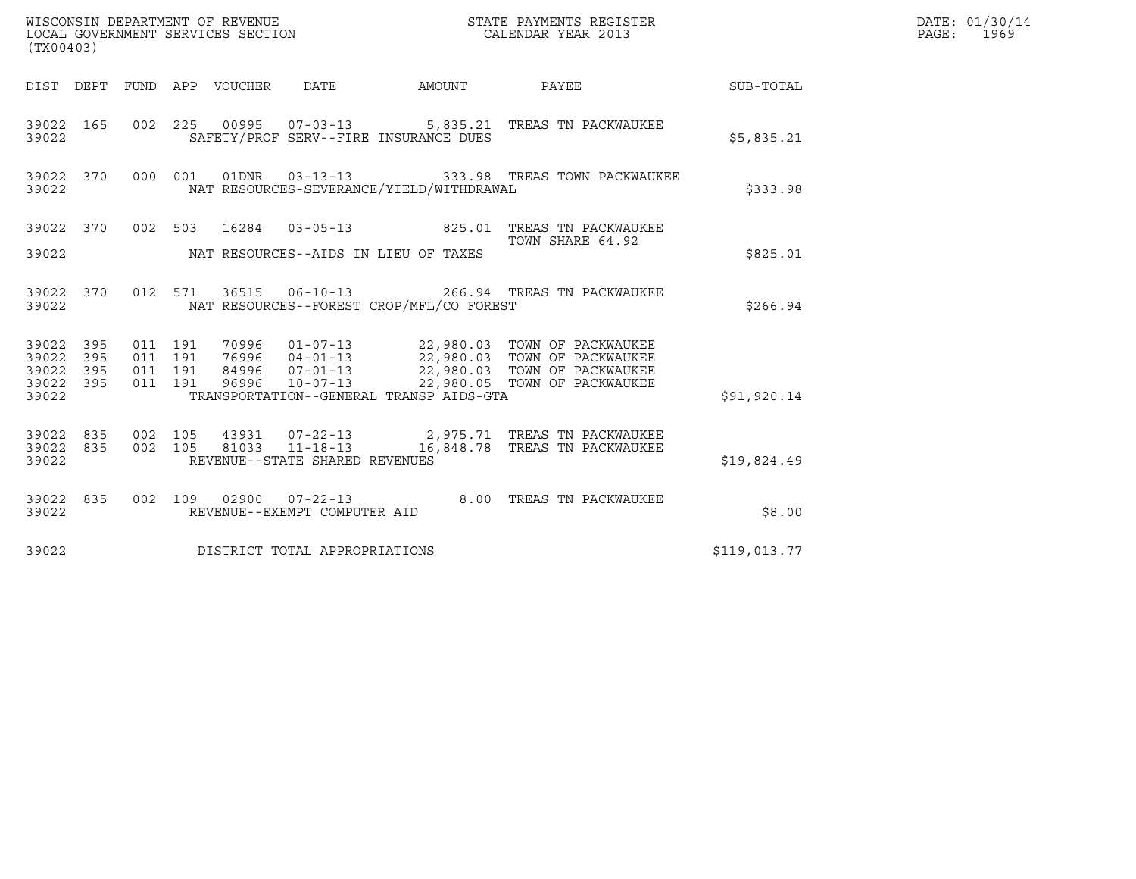| (TX00403)                                                                            | WISCONSIN DEPARTMENT OF REVENUE<br>LOCAL GOVERNMENT SERVICES SECTION                                                                                                                     | STATE PAYMENTS REGISTER<br>CALENDAR YEAR 2013 |              | DATE: 01/30/14<br>PAGE: 1969 |
|--------------------------------------------------------------------------------------|------------------------------------------------------------------------------------------------------------------------------------------------------------------------------------------|-----------------------------------------------|--------------|------------------------------|
|                                                                                      | DIST DEPT FUND APP VOUCHER DATE AMOUNT PAYEE TO SUB-TOTAL                                                                                                                                |                                               |              |                              |
| 39022 165<br>39022                                                                   | 002 225 00995 07-03-13 5,835.21 TREAS TN PACKWAUKEE<br>SAFETY/PROF SERV--FIRE INSURANCE DUES                                                                                             |                                               | \$5,835.21   |                              |
| 39022 370<br>39022                                                                   | 000 001<br>NAT RESOURCES-SEVERANCE/YIELD/WITHDRAWAL                                                                                                                                      |                                               | \$333.98     |                              |
| 39022 370                                                                            | 002 503 16284 03-05-13 825.01 TREAS TN PACKWAUKEE                                                                                                                                        | TOWN SHARE 64.92                              |              |                              |
| 39022                                                                                | NAT RESOURCES--AIDS IN LIEU OF TAXES                                                                                                                                                     |                                               | \$825.01     |                              |
| 39022 370<br>39022                                                                   | 012 571 36515 06-10-13 266.94 TREAS TN PACKWAUKEE<br>NAT RESOURCES--FOREST CROP/MFL/CO FOREST                                                                                            |                                               | \$266.94     |                              |
| 39022 395<br>011 191<br>39022<br>395<br>39022 395<br>011 191<br>011 191<br>39022 395 | 011 191<br>70996  01-07-13  22,980.03  TOWN OF PACKWAUKEE<br>76996  04-01-13  22,980.03  TOWN OF PACKWAUKEE<br>84996  07-01-13  22,980.03  TOWN OF PACKWAUKEE<br>$10 - 07 - 13$<br>96996 | 22,980.05 TOWN OF PACKWAUKEE                  |              |                              |
| 39022                                                                                | TRANSPORTATION--GENERAL TRANSP AIDS-GTA                                                                                                                                                  |                                               | \$91,920.14  |                              |
| 39022 835<br>002 105<br>002 105<br>39022 835<br>39022                                | 43931  07-22-13  2,975.71  TREAS TN PACKWAUKEE<br>81033  11-18-13  16,848.78  TREAS TN PACKWAUKEE<br>REVENUE--STATE SHARED REVENUES                                                      |                                               | \$19,824.49  |                              |
| 39022 835<br>39022                                                                   | 002 109 02900 07-22-13<br>REVENUE--EXEMPT COMPUTER AID                                                                                                                                   | 8.00 TREAS TN PACKWAUKEE                      | \$8.00       |                              |
| 39022                                                                                | DISTRICT TOTAL APPROPRIATIONS                                                                                                                                                            |                                               | \$119,013.77 |                              |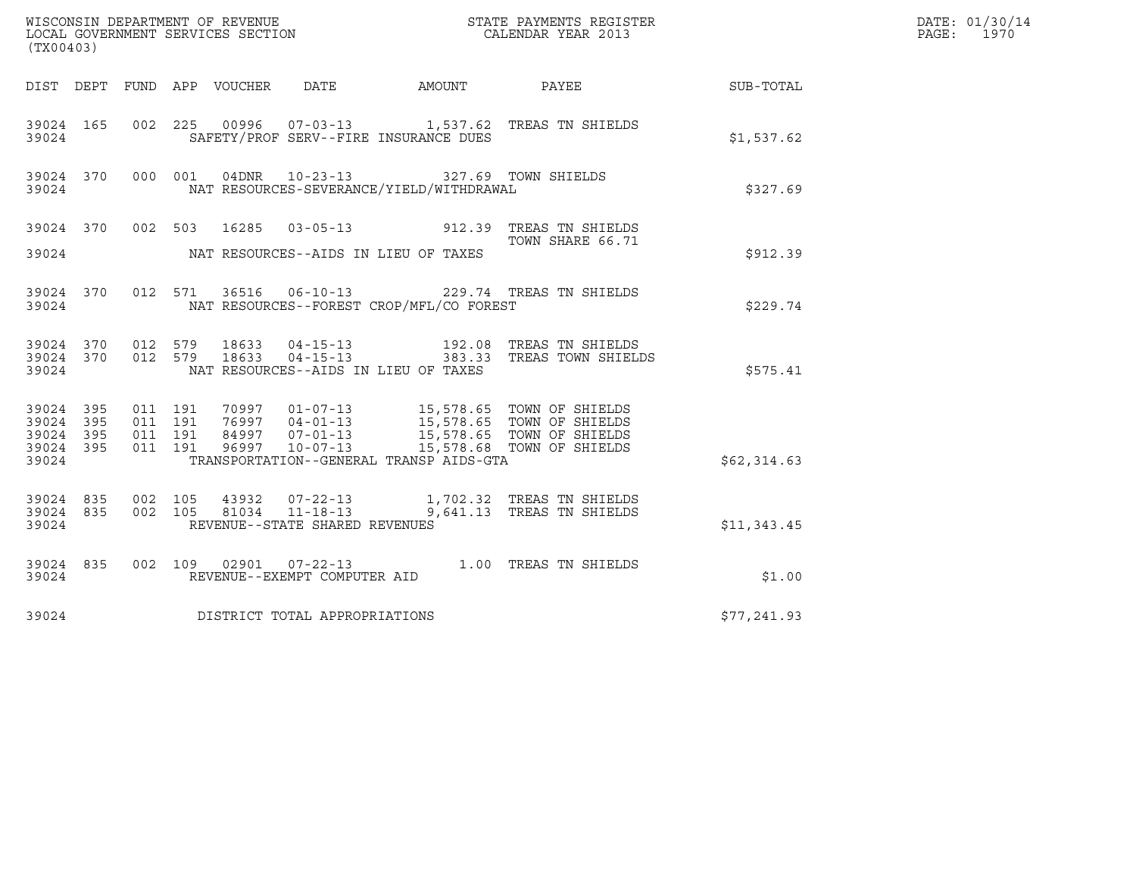| (TX00403)                                                 |  |         |                               |  |                                |                                                                                                  |                                                                                                                                                                                          |             | DATE: 01/30/14<br>PAGE: 1970 |
|-----------------------------------------------------------|--|---------|-------------------------------|--|--------------------------------|--------------------------------------------------------------------------------------------------|------------------------------------------------------------------------------------------------------------------------------------------------------------------------------------------|-------------|------------------------------|
|                                                           |  |         |                               |  |                                |                                                                                                  |                                                                                                                                                                                          |             |                              |
| 39024                                                     |  |         |                               |  |                                | SAFETY/PROF SERV--FIRE INSURANCE DUES                                                            | 39024 165 002 225 00996 07-03-13 1,537.62 TREAS TN SHIELDS                                                                                                                               | \$1,537.62  |                              |
| 39024                                                     |  |         |                               |  |                                | 39024 370 000 001 04DNR 10-23-13 327.69 TOWN SHIELDS<br>NAT RESOURCES-SEVERANCE/YIELD/WITHDRAWAL |                                                                                                                                                                                          | \$327.69    |                              |
| 39024                                                     |  |         |                               |  |                                | NAT RESOURCES--AIDS IN LIEU OF TAXES                                                             | 39024 370 002 503 16285 03-05-13 912.39 TREAS TN SHIELDS<br>TOWN SHARE 66.71                                                                                                             | \$912.39    |                              |
| 39024                                                     |  |         |                               |  |                                | NAT RESOURCES--FOREST CROP/MFL/CO FOREST                                                         | 39024 370 012 571 36516 06-10-13 229.74 TREAS TN SHIELDS                                                                                                                                 | \$229.74    |                              |
| 39024                                                     |  |         |                               |  |                                | NAT RESOURCES--AIDS IN LIEU OF TAXES                                                             | $39024$ $370$ $012$ $579$ $18633$ $04-15-13$ $192.08$ TREAS TN SHIELDS<br>$39024$ $370$ $012$ $579$ $18633$ $04-15-13$ $383.33$ TREAS TOWN SHIELDS                                       | \$575.41    |                              |
| 39024 395<br>39024 395<br>39024 395<br>39024 395<br>39024 |  | 011 191 | 011 191<br>011 191<br>011 191 |  |                                | TRANSPORTATION--GENERAL TRANSP AIDS-GTA                                                          | 70997  01-07-13  15,578.65  TOWN OF SHIELDS<br>76997  04-01-13  15,578.65  TOWN OF SHIELDS<br>84997  07-01-13  15,578.65  TOWN OF SHIELDS<br>96997  10-07-13  15,578.68  TOWN OF SHIELDS | \$62,314.63 |                              |
| 39024 835<br>39024 835<br>39024                           |  | 002 105 | 002 105                       |  | REVENUE--STATE SHARED REVENUES |                                                                                                  | 43932  07-22-13   1,702.32   TREAS TN SHIELDS<br>81034  11-18-13   9,641.13   TREAS TN SHIELDS                                                                                           | \$11,343.45 |                              |
| 39024                                                     |  |         |                               |  | REVENUE--EXEMPT COMPUTER AID   |                                                                                                  | 39024 835 002 109 02901 07-22-13 1.00 TREAS TN SHIELDS                                                                                                                                   | \$1.00      |                              |
| 39024                                                     |  |         |                               |  | DISTRICT TOTAL APPROPRIATIONS  |                                                                                                  |                                                                                                                                                                                          | \$77,241.93 |                              |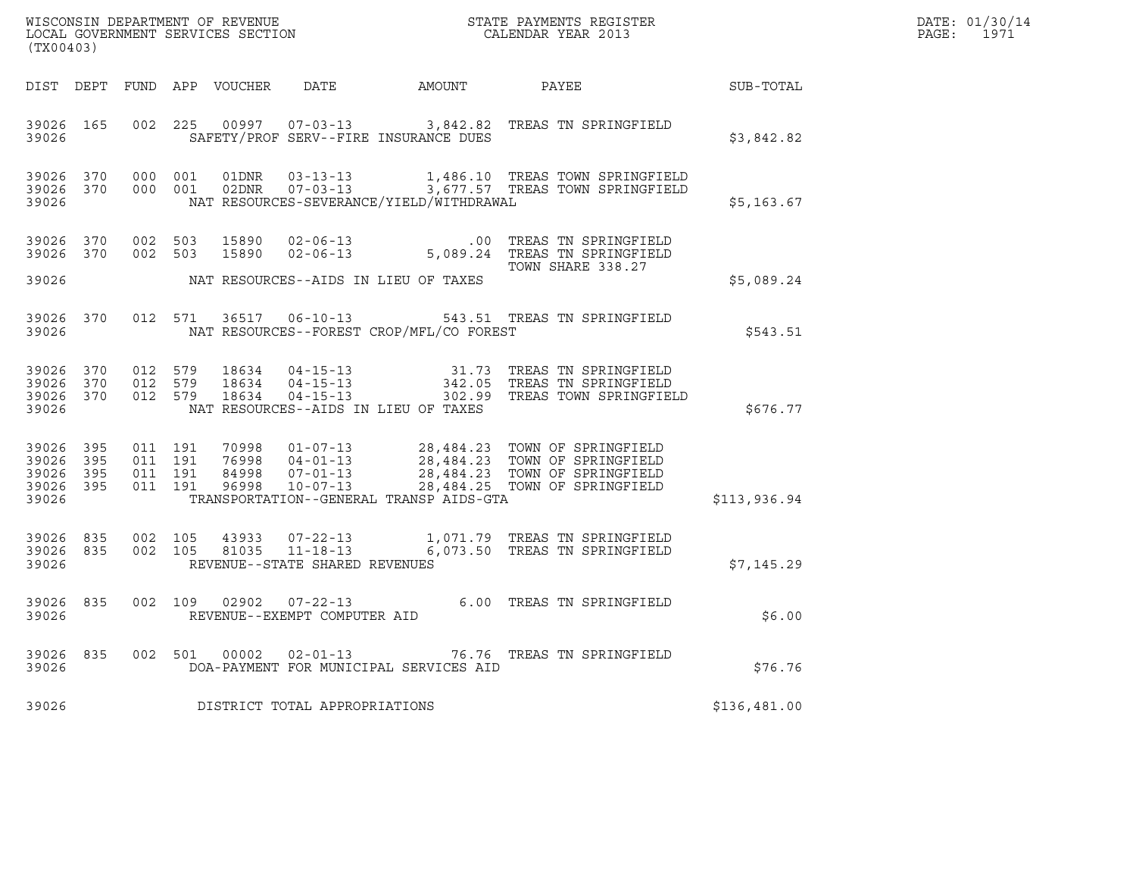| DATE: | 01/30/14 |
|-------|----------|
| PAGE: | 1971     |

| ${\tt WISCONSIM\ DEPARTMENT\ OF\ REVENUE}\qquad \qquad {\tt STATE\ PAYMENTS\ REGISTER} \\ {\tt LOCAL\ GOVERNMENT\ SERVICES\ SECTION}\qquad \qquad {\tt CALENDAR\ YEAR\ 2013}$<br>(TX00403) |                                            |                              |  |  |                                |                                            |                                                                                                                                                                                                                              | $R = \frac{1}{2}$ | DATE: 01/30/14<br>PAGE: 1971 |
|--------------------------------------------------------------------------------------------------------------------------------------------------------------------------------------------|--------------------------------------------|------------------------------|--|--|--------------------------------|--------------------------------------------|------------------------------------------------------------------------------------------------------------------------------------------------------------------------------------------------------------------------------|-------------------|------------------------------|
|                                                                                                                                                                                            |                                            |                              |  |  |                                |                                            | DIST DEPT FUND APP VOUCHER DATE AMOUNT PAYEE TO SUB-TOTAL                                                                                                                                                                    |                   |                              |
| 39026                                                                                                                                                                                      | 39026 165                                  |                              |  |  |                                | SAFETY/PROF SERV--FIRE INSURANCE DUES      | 002 225 00997 07-03-13 3,842.82 TREAS TN SPRINGFIELD                                                                                                                                                                         | \$3,842.82        |                              |
| 39026                                                                                                                                                                                      |                                            |                              |  |  |                                | NAT RESOURCES-SEVERANCE/YIELD/WITHDRAWAL   | 39026 370 000 001 01DNR 03-13-13 1,486.10 TREAS TOWN SPRINGFIELD<br>39026 370 000 001 02DNR 07-03-13 3,677.57 TREAS TOWN SPRINGFIELD                                                                                         | \$5,163.67        |                              |
|                                                                                                                                                                                            | 39026 370                                  | 39026 370 002 503            |  |  |                                |                                            | 002 503 15890 02-06-13 .00 TREAS TN SPRINGFIELD<br>002 503 15890 02-06-13 5,089.24 TREAS TN SPRINGFIELD<br>002 503 15890 02-06-13                                                                                            |                   |                              |
| 39026                                                                                                                                                                                      |                                            |                              |  |  |                                | NAT RESOURCES--AIDS IN LIEU OF TAXES       |                                                                                                                                                                                                                              | \$5,089.24        |                              |
| 39026                                                                                                                                                                                      |                                            |                              |  |  |                                | NAT RESOURCES--FOREST CROP/MFL/CO FOREST   | 39026 370 012 571 36517 06-10-13 543.51 TREAS TN SPRINGFIELD                                                                                                                                                                 | \$543.51          |                              |
|                                                                                                                                                                                            |                                            |                              |  |  |                                | 39026 NAT RESOURCES--AIDS IN LIEU OF TAXES | 39026 370 012 579 18634 04-15-13 31.73 TREAS TN SPRINGFIELD<br>39026 370 012 579 18634 04-15-13 342.05 TREAS TN SPRINGFIELD<br>39026 370 012 579 18634 04-15-13 302.99 TREAS TOWN SPRINGFIELD                                | \$676.77          |                              |
| 39026<br>39026                                                                                                                                                                             | 39026 395<br>395<br>39026 395<br>39026 395 |                              |  |  |                                | TRANSPORTATION--GENERAL TRANSP AIDS-GTA    | 011 191 70998 01-07-13 28,484.23 TOWN OF SPRINGFIELD<br>011 191 76998 04-01-13 28,484.23 TOWN OF SPRINGFIELD<br>011 191 96998 10-07-13 28,484.23 TOWN OF SPRINGFIELD<br>011 191 96998 10-07-13 28,484.25 TOWN OF SPRINGFIELD | \$113,936.94      |                              |
| 39026 835<br>39026                                                                                                                                                                         |                                            | 39026 835 002 105<br>002 105 |  |  | REVENUE--STATE SHARED REVENUES |                                            |                                                                                                                                                                                                                              | \$7,145.29        |                              |
|                                                                                                                                                                                            | 39026 835<br>39026                         |                              |  |  | REVENUE--EXEMPT COMPUTER AID   |                                            | 002 109 02902 07-22-13 6.00 TREAS TN SPRINGFIELD                                                                                                                                                                             | \$6.00            |                              |
| 39026                                                                                                                                                                                      |                                            |                              |  |  |                                | DOA-PAYMENT FOR MUNICIPAL SERVICES AID     | 39026 835 002 501 00002 02-01-13 76.76 TREAS TN SPRINGFIELD                                                                                                                                                                  | \$76.76           |                              |
| 39026                                                                                                                                                                                      |                                            |                              |  |  | DISTRICT TOTAL APPROPRIATIONS  |                                            |                                                                                                                                                                                                                              | \$136,481.00      |                              |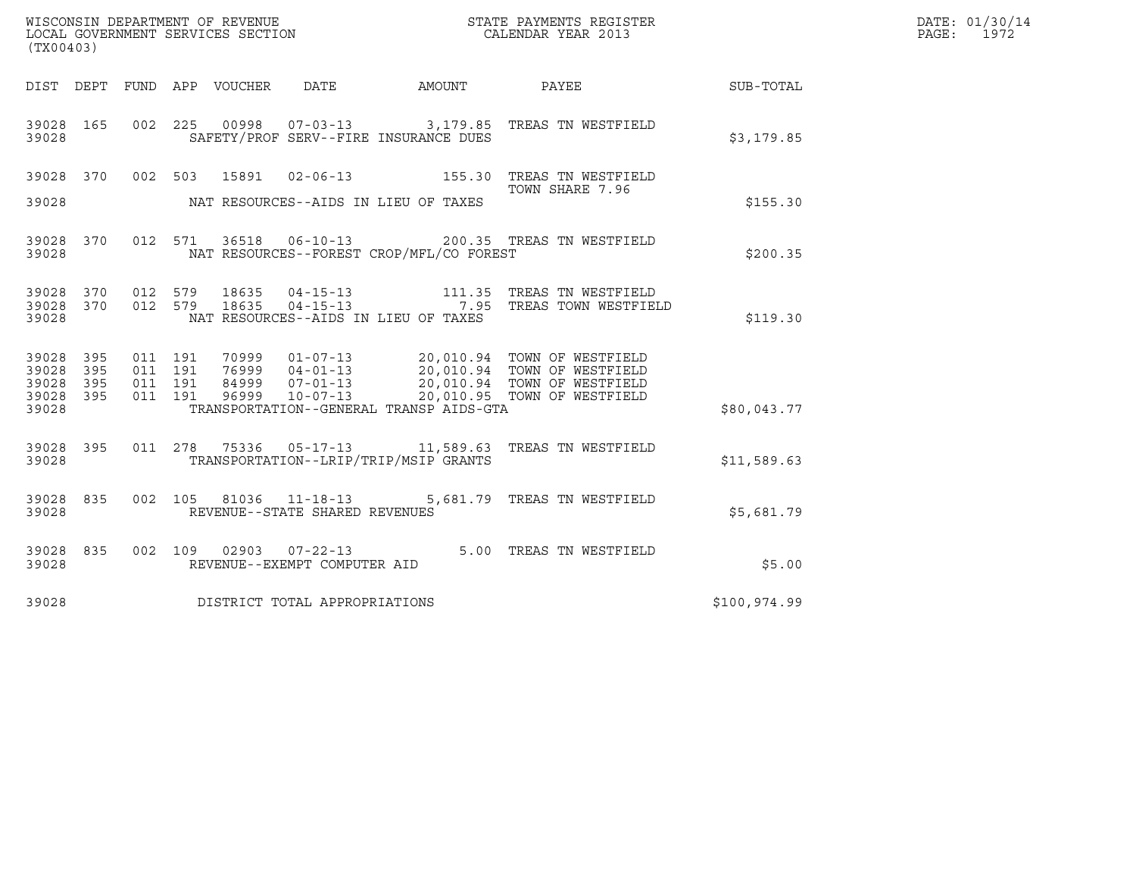| (TX00403)                                 |                          |                                          |                            |       |                                                        |                                          | ${\tt WISCOONSIM} \begin{tabular}{lcccc} DEPARTMENT OF REVENUE & & & & & & \begin{tabular}{l} \bf STATE \end{tabular} \end{tabular} \begin{tabular}{lcccc} \bf RTATE \end{tabular} \end{tabular} \begin{tabular}{lcccc} \bf RTATE \end{tabular} \end{tabular} \begin{tabular}{lcccc} \bf RTATE \end{tabular} \end{tabular} \begin{tabular}{lcccc} \bf RTATE \end{tabular} \end{tabular} \begin{tabular}{lcccc} \bf RTATE \end{tabular} \end{tabular} \begin{tabular}{lcccc} \bf RTATE \end{tabular} \end{tabular} \begin{tabular}{lcccc} \bf RTATE \end{$ |              | DATE: 01/30/14<br>PAGE:<br>1972 |
|-------------------------------------------|--------------------------|------------------------------------------|----------------------------|-------|--------------------------------------------------------|------------------------------------------|-----------------------------------------------------------------------------------------------------------------------------------------------------------------------------------------------------------------------------------------------------------------------------------------------------------------------------------------------------------------------------------------------------------------------------------------------------------------------------------------------------------------------------------------------------------|--------------|---------------------------------|
|                                           |                          |                                          | DIST DEPT FUND APP VOUCHER |       | DATE                                                   |                                          | AMOUNT PAYEE                                                                                                                                                                                                                                                                                                                                                                                                                                                                                                                                              | SUB-TOTAL    |                                 |
| 39028 165<br>39028                        |                          |                                          |                            |       |                                                        | SAFETY/PROF SERV--FIRE INSURANCE DUES    | 002 225 00998 07-03-13 3,179.85 TREAS TN WESTFIELD                                                                                                                                                                                                                                                                                                                                                                                                                                                                                                        | \$3,179.85   |                                 |
|                                           |                          |                                          |                            |       |                                                        |                                          | 39028 370 002 503 15891 02-06-13 155.30 TREAS TN WESTFIELD<br>TOWN SHARE 7.96                                                                                                                                                                                                                                                                                                                                                                                                                                                                             |              |                                 |
| 39028                                     |                          |                                          |                            |       |                                                        | NAT RESOURCES--AIDS IN LIEU OF TAXES     |                                                                                                                                                                                                                                                                                                                                                                                                                                                                                                                                                           | \$155.30     |                                 |
| 39028 370<br>39028                        |                          |                                          |                            |       |                                                        | NAT RESOURCES--FOREST CROP/MFL/CO FOREST | 012 571 36518 06-10-13 200.35 TREAS TN WESTFIELD                                                                                                                                                                                                                                                                                                                                                                                                                                                                                                          | \$200.35     |                                 |
| 39028<br>39028 370<br>39028               |                          | 370 012 579                              | 012 579 18635              | 18635 |                                                        | NAT RESOURCES--AIDS IN LIEU OF TAXES     | 04-15-13 111.35 TREAS TN WESTFIELD<br>04-15-13 7.95 TREAS TOWN WESTFIELD                                                                                                                                                                                                                                                                                                                                                                                                                                                                                  | \$119.30     |                                 |
| 39028<br>39028<br>39028<br>39028<br>39028 | 395<br>395<br>395<br>395 | 011 191<br>011 191<br>011 191<br>011 191 |                            |       |                                                        | TRANSPORTATION--GENERAL TRANSP AIDS-GTA  | 70999 01-07-13 20,010.94 TOWN OF WESTFIELD<br>76999 04-01-13 20,010.94 TOWN OF WESTFIELD<br>84999 07-01-13 20,010.94 TOWN OF WESTFIELD<br>96999 10-07-13 20,010.95 TOWN OF WESTFIELD                                                                                                                                                                                                                                                                                                                                                                      | \$80,043.77  |                                 |
| 39028 395<br>39028                        |                          |                                          |                            |       |                                                        | TRANSPORTATION--LRIP/TRIP/MSIP GRANTS    | 011  278  75336  05-17-13  11,589.63  TREAS TN WESTFIELD                                                                                                                                                                                                                                                                                                                                                                                                                                                                                                  | \$11,589.63  |                                 |
| 39028 835<br>39028                        |                          |                                          |                            |       | REVENUE--STATE SHARED REVENUES                         |                                          | 002  105  81036  11-18-13  5,681.79  TREAS TN WESTFIELD                                                                                                                                                                                                                                                                                                                                                                                                                                                                                                   | \$5,681.79   |                                 |
| 39028 835<br>39028                        |                          |                                          |                            |       | 002 109 02903 07-22-13<br>REVENUE--EXEMPT COMPUTER AID |                                          | 5.00 TREAS TN WESTFIELD                                                                                                                                                                                                                                                                                                                                                                                                                                                                                                                                   | \$5.00       |                                 |
| 39028                                     |                          |                                          |                            |       | DISTRICT TOTAL APPROPRIATIONS                          |                                          |                                                                                                                                                                                                                                                                                                                                                                                                                                                                                                                                                           | \$100,974.99 |                                 |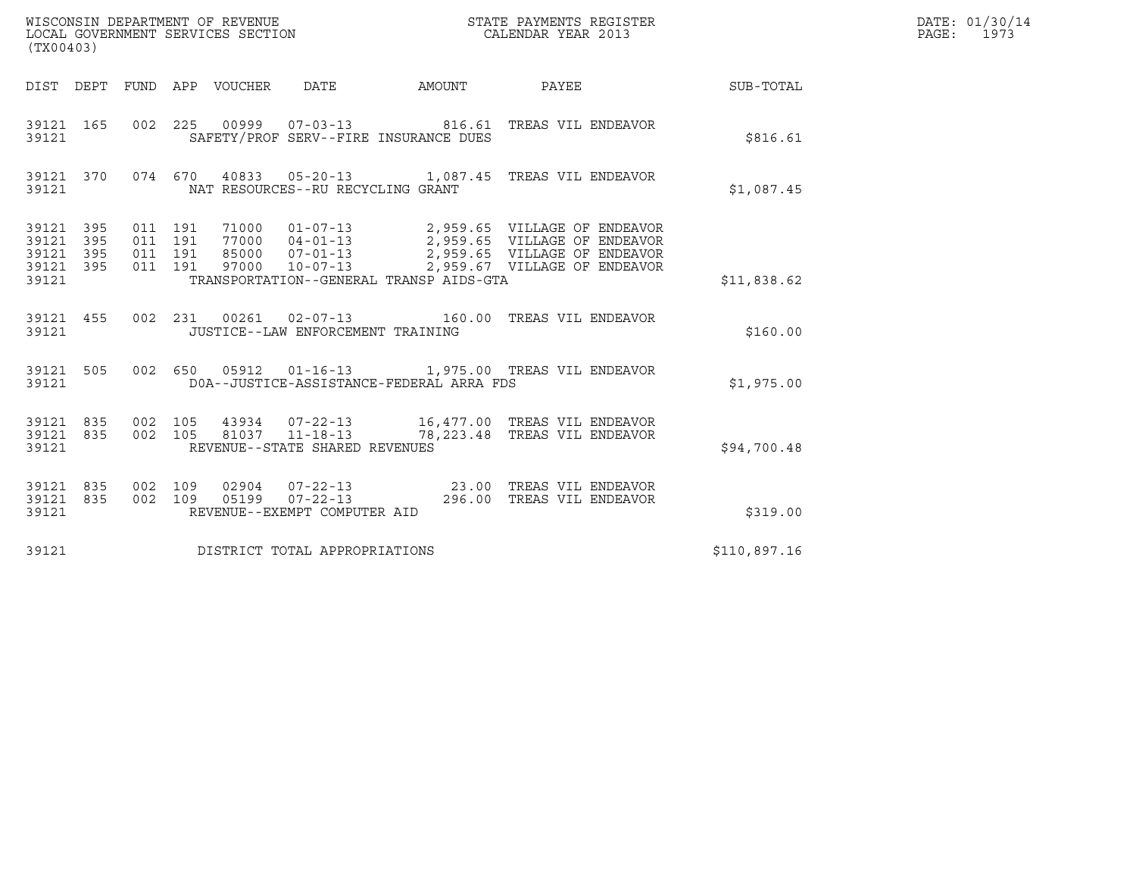| WISCONSIN DEPARTMENT OF REVENUE<br>LOCAL GOVERNMENT SERVICES SECTION<br>(TX00403) | STATE PAYMENTS REGISTER<br>CALENDAR YEAR 2013 | DATE: 01/30/14<br>PAGE:<br>1973 |
|-----------------------------------------------------------------------------------|-----------------------------------------------|---------------------------------|

| (TX00403)                                                 |                                                                                                                                                                                                                                                                                                                                                                                                                                  |                                                                                         |              |
|-----------------------------------------------------------|----------------------------------------------------------------------------------------------------------------------------------------------------------------------------------------------------------------------------------------------------------------------------------------------------------------------------------------------------------------------------------------------------------------------------------|-----------------------------------------------------------------------------------------|--------------|
| DIST DEPT<br>FUND                                         | APP                                                                                                                                                                                                                                                                                                                                                                                                                              | VOUCHER DATE AMOUNT PAYEE                                                               | SUB-TOTAL    |
| 002<br>39121<br>165<br>39121                              | 225<br>SAFETY/PROF SERV--FIRE INSURANCE DUES                                                                                                                                                                                                                                                                                                                                                                                     | 00999  07-03-13  816.61 TREAS VIL ENDEAVOR                                              | \$816.61     |
| 39121                                                     | 39121 370 074 670 40833 05-20-13 1,087.45 TREAS VIL ENDEAVOR<br>NAT RESOURCES--RU RECYCLING GRANT                                                                                                                                                                                                                                                                                                                                |                                                                                         | \$1,087.45   |
| 39121 395<br>39121 395<br>39121 395<br>39121 395<br>39121 | $\begin{array}{cccc} 011 & 191 & 71000 & 01\texttt{-}07\texttt{-}13 \\ 011 & 191 & 77000 & 04\texttt{-}01\texttt{-}13 \\ 011 & 191 & 85000 & 07\texttt{-}01\texttt{-}13 \\ \end{array} \hspace{1.5cm} \begin{array}{c} 2\texttt{,} 959.65 & \text{VILLAGE OF ENDEAVOR} \\ 2\texttt{,} 959.65 & \text{VILLAGE OF ENDEAVOR} \\ 2\texttt{,} 959.65 & \text{VILLAGE OF ENDEAV$<br>011 191<br>TRANSPORTATION--GENERAL TRANSP AIDS-GTA | 97000  10-07-13  2,959.67  VILLAGE OF ENDEAVOR                                          | \$11,838.62  |
| 39121 455<br>39121                                        | 002 231 00261 02-07-13 160.00 TREAS VIL ENDEAVOR<br>JUSTICE--LAW ENFORCEMENT TRAINING                                                                                                                                                                                                                                                                                                                                            |                                                                                         | \$160.00     |
| 39121 505<br>39121                                        | 002 650 05912 01-16-13 1,975.00 TREAS VIL ENDEAVOR<br>DOA--JUSTICE-ASSISTANCE-FEDERAL ARRA FDS                                                                                                                                                                                                                                                                                                                                   |                                                                                         | \$1,975.00   |
| 39121 835<br>002<br>002<br>39121 835<br>39121             | REVENUE--STATE SHARED REVENUES                                                                                                                                                                                                                                                                                                                                                                                                   |                                                                                         | \$94,700.48  |
| 002<br>39121<br>835<br>835<br>002<br>39121<br>39121       | 109<br>109<br>REVENUE--EXEMPT COMPUTER AID                                                                                                                                                                                                                                                                                                                                                                                       | 02904  07-22-13  23.00 TREAS VIL ENDEAVOR<br>05199  07-22-13  296.00 TREAS VIL ENDEAVOR | \$319.00     |
| 39121                                                     | DISTRICT TOTAL APPROPRIATIONS                                                                                                                                                                                                                                                                                                                                                                                                    |                                                                                         | \$110,897.16 |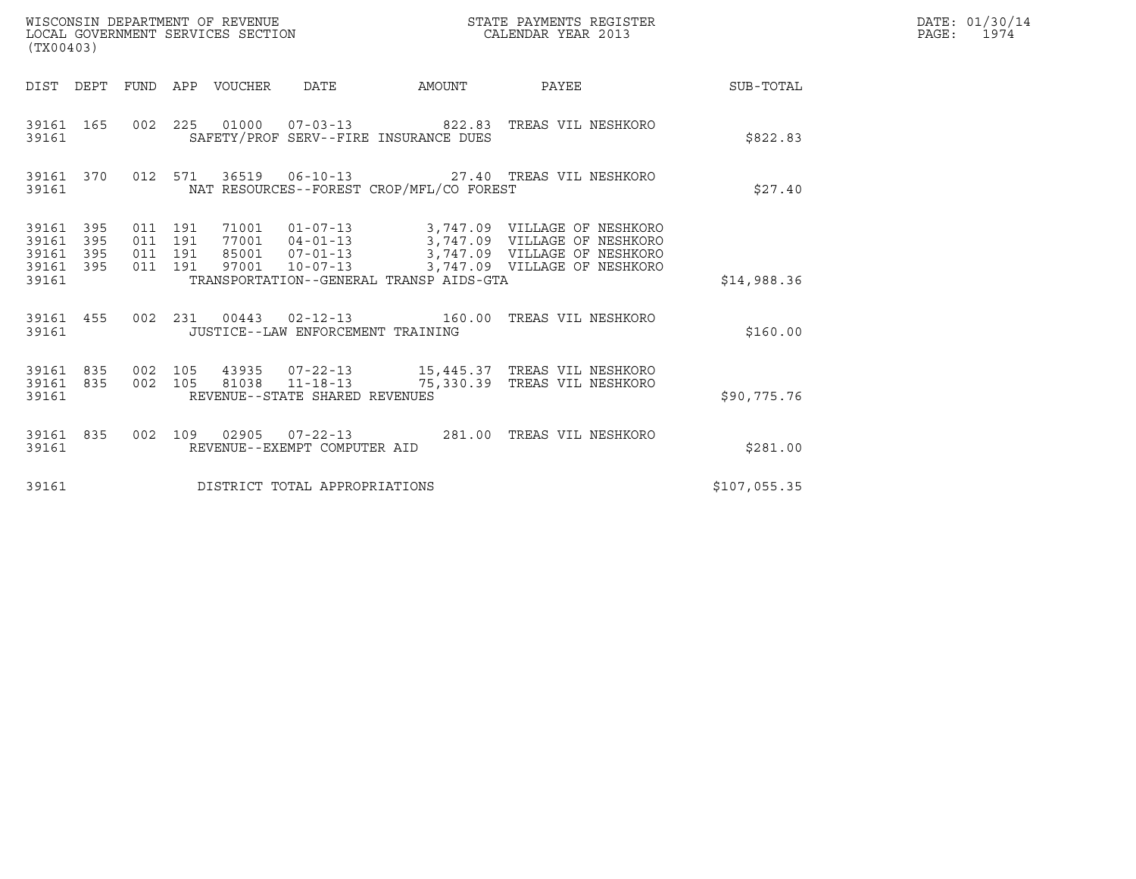| (TX00403)                                                          | WISCONSIN DEPARTMENT OF REVENUE<br>LOCAL GOVERNMENT SERVICES SECTION |                                                                                                                                                                                                                                        | STATE PAYMENTS REGISTER<br>CALENDAR YEAR 2013 |              | DATE: 01/30/14<br>PAGE: 1974 |
|--------------------------------------------------------------------|----------------------------------------------------------------------|----------------------------------------------------------------------------------------------------------------------------------------------------------------------------------------------------------------------------------------|-----------------------------------------------|--------------|------------------------------|
|                                                                    |                                                                      | DIST DEPT FUND APP VOUCHER DATE AMOUNT PAYEE TO SUB-TOTAL                                                                                                                                                                              |                                               |              |                              |
| 39161 165<br>39161                                                 |                                                                      | 002  225  01000  07-03-13  822.83  TREAS VIL NESHKORO<br>SAFETY/PROF SERV--FIRE INSURANCE DUES                                                                                                                                         |                                               | \$822.83     |                              |
| 39161 370<br>39161                                                 |                                                                      | 012 571 36519 06-10-13 27.40 TREAS VIL NESHKORO<br>NAT RESOURCES--FOREST CROP/MFL/CO FOREST                                                                                                                                            |                                               | \$27.40      |                              |
| 39161 395<br>39161<br>395<br>39161<br>395<br>395<br>39161<br>39161 | 011 191<br>011 191<br>011 191<br>011 191<br>97001                    | 71001  01-07-13  3,747.09  VILLAGE OF NESHKORO<br>77001  04-01-13  3,747.09  VILLAGE OF NESHKORO<br>85001  07-01-13  3,747.09  VILLAGE OF NESHKORO<br>10-07-13 3,747.09 VILLAGE OF NESHKORO<br>TRANSPORTATION--GENERAL TRANSP AIDS-GTA |                                               | \$14,988.36  |                              |
| 39161 455<br>39161                                                 |                                                                      | 002 231 00443 02-12-13 160.00 TREAS VIL NESHKORO<br>JUSTICE--LAW ENFORCEMENT TRAINING                                                                                                                                                  |                                               | \$160.00     |                              |
| 39161 835<br>39161 835<br>39161                                    |                                                                      | 002 105 43935 07-22-13 15,445.37 TREAS VIL NESHKORO<br>002 105 81038 11-18-13 75,330.39 TREAS VIL NESHKORO<br>REVENUE--STATE SHARED REVENUES                                                                                           |                                               | \$90,775.76  |                              |
| 39161 835<br>39161                                                 |                                                                      | 002 109 02905 07-22-13 281.00 TREAS VIL NESHKORO<br>REVENUE--EXEMPT COMPUTER AID                                                                                                                                                       |                                               | \$281.00     |                              |
| 39161                                                              |                                                                      | DISTRICT TOTAL APPROPRIATIONS                                                                                                                                                                                                          |                                               | \$107,055.35 |                              |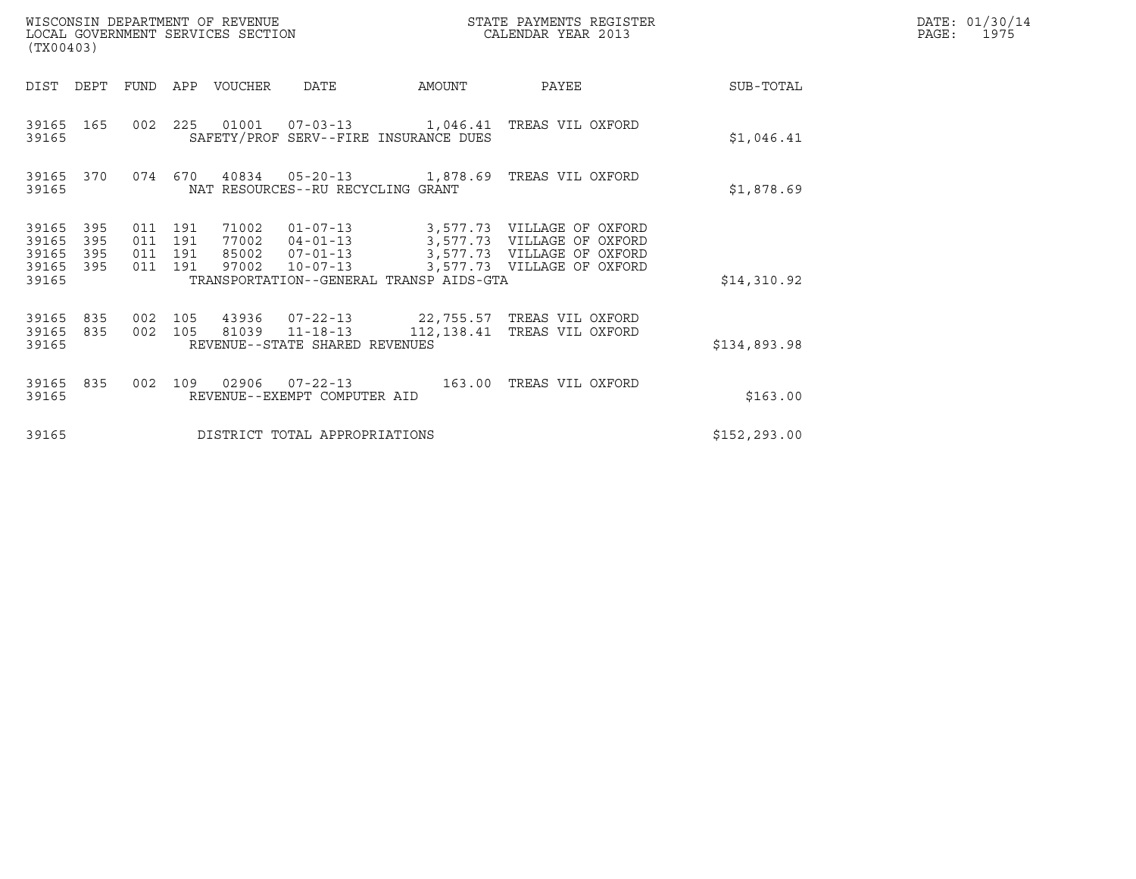| (TX00403)                                                             |                                      | WISCONSIN DEPARTMENT OF REVENUE<br>LOCAL GOVERNMENT SERVICES SECTION                                                                                 | STATE PAYMENTS REGISTER<br>CALENDAR YEAR 2013 |                                                                                                 |               | DATE: 01/30/14<br>$\mathtt{PAGE:}$<br>1975 |
|-----------------------------------------------------------------------|--------------------------------------|------------------------------------------------------------------------------------------------------------------------------------------------------|-----------------------------------------------|-------------------------------------------------------------------------------------------------|---------------|--------------------------------------------|
| DIST<br>DEPT                                                          | FUND                                 | APP VOUCHER<br>DATE                                                                                                                                  | AMOUNT                                        | PAYEE                                                                                           | SUB-TOTAL     |                                            |
| 39165 165<br>39165                                                    |                                      | 002  225  01001  07-03-13  1,046.41 TREAS VIL OXFORD<br>SAFETY/PROF SERV--FIRE INSURANCE DUES                                                        |                                               |                                                                                                 | \$1,046.41    |                                            |
| 39165 370<br>39165                                                    | 074 670                              | 40834  05-20-13  1,878.69  TREAS VIL OXFORD<br>NAT RESOURCES--RU RECYCLING GRANT                                                                     |                                               |                                                                                                 | \$1,878.69    |                                            |
| 39165<br>395<br>39165<br>395<br>395<br>39165<br>39165<br>395<br>39165 | 011 191<br>011<br>011 191<br>011 191 | 71002<br>191<br>77002  04-01-13  3,577.73  VILLAGE OF OXFORD<br>85002 07-01-13<br>$10 - 07 - 13$<br>97002<br>TRANSPORTATION--GENERAL TRANSP AIDS-GTA |                                               | 01-07-13 3,577.73 VILLAGE OF OXFORD<br>3,577.73 VILLAGE OF OXFORD<br>3,577.73 VILLAGE OF OXFORD | \$14,310.92   |                                            |
| 39165 835<br>835<br>39165<br>39165                                    | 002 105<br>002 105                   | 43936 07-22-13 22,755.57 TREAS VIL OXFORD<br>81039 11-18-13<br>REVENUE--STATE SHARED REVENUES                                                        |                                               | 112,138.41 TREAS VIL OXFORD                                                                     | \$134,893.98  |                                            |
| 39165 835<br>39165                                                    | 002                                  | 109<br>REVENUE--EXEMPT COMPUTER AID                                                                                                                  |                                               | 163.00 TREAS VIL OXFORD                                                                         | \$163.00      |                                            |
| 39165                                                                 |                                      | DISTRICT TOTAL APPROPRIATIONS                                                                                                                        |                                               |                                                                                                 | \$152, 293.00 |                                            |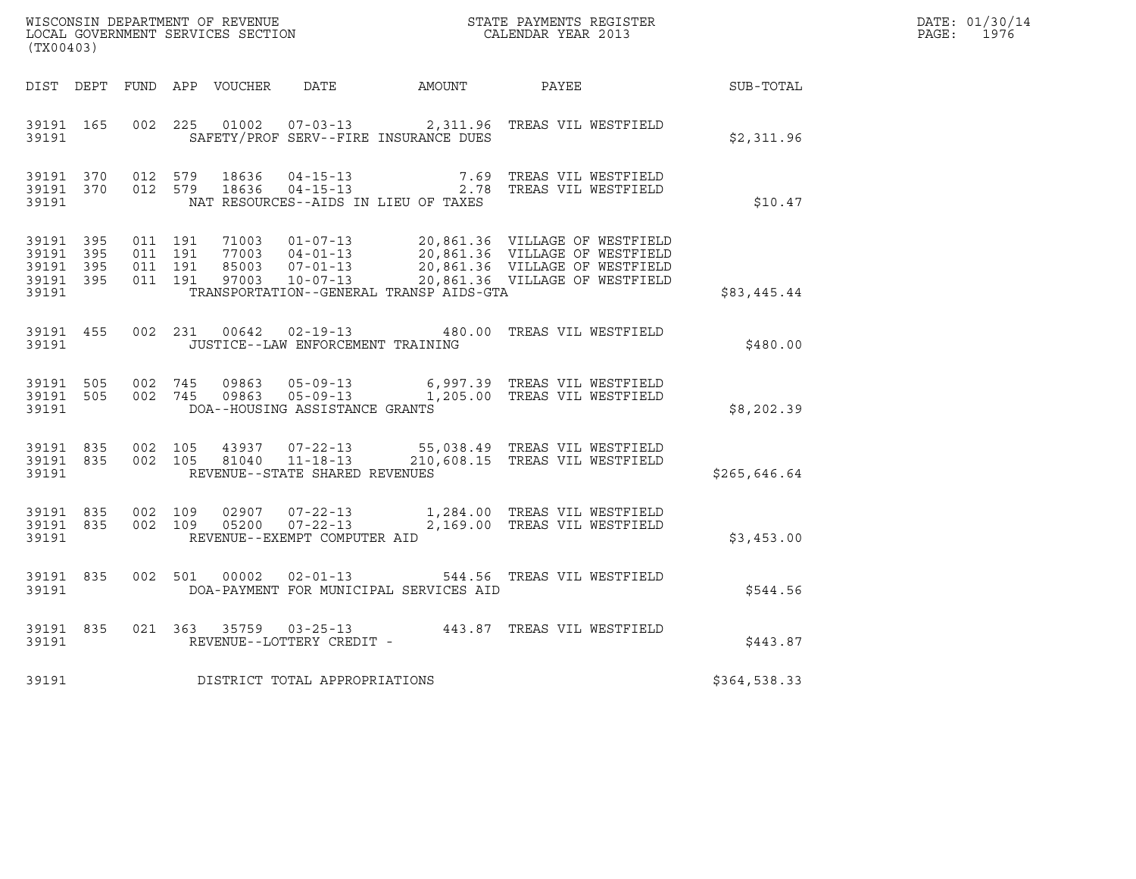| (TX00403)                                                 |  |                                        |                    |                |                                   |                                         |                                                                                                                                                                                                              |              | DATE: 01/30/14<br>PAGE: 1976 |
|-----------------------------------------------------------|--|----------------------------------------|--------------------|----------------|-----------------------------------|-----------------------------------------|--------------------------------------------------------------------------------------------------------------------------------------------------------------------------------------------------------------|--------------|------------------------------|
|                                                           |  |                                        |                    |                |                                   |                                         | DIST DEPT FUND APP VOUCHER  DATE           AMOUNT           PAYEE                                                                                                                                            | SUB-TOTAL    |                              |
| 39191 165<br>39191                                        |  |                                        |                    |                |                                   | SAFETY/PROF SERV--FIRE INSURANCE DUES   | 002  225  01002  07-03-13  2,311.96  TREAS VIL WESTFIELD                                                                                                                                                     | \$2,311.96   |                              |
| 39191                                                     |  | 39191 370 012 579<br>39191 370 012 579 |                    | 18636<br>18636 |                                   | NAT RESOURCES--AIDS IN LIEU OF TAXES    | 04-15-13 7.69 TREAS VIL WESTFIELD<br>04-15-13 2.78 TREAS VIL WESTFIELD                                                                                                                                       | \$10.47      |                              |
| 39191 395<br>39191 395<br>39191 395<br>39191 395<br>39191 |  | 011 191<br>011 191                     | 011 191<br>011 191 |                |                                   | TRANSPORTATION--GENERAL TRANSP AIDS-GTA | 71003  01-07-13  20,861.36  VILLAGE OF WESTFIELD<br>77003  04-01-13  20,861.36  VILLAGE OF WESTFIELD<br>85003  07-01-13  20,861.36  VILLAGE OF WESTFIELD<br>97003  10-07-13  20,861.36  VILLAGE OF WESTFIELD | \$83,445.44  |                              |
| 39191                                                     |  |                                        |                    |                | JUSTICE--LAW ENFORCEMENT TRAINING |                                         | 39191 455 002 231 00642 02-19-13 480.00 TREAS VIL WESTFIELD                                                                                                                                                  | \$480.00     |                              |
| 39191 505<br>39191                                        |  | 39191 505 002 745                      |                    |                | DOA--HOUSING ASSISTANCE GRANTS    |                                         | 09863  05-09-13   6,997.39   TREAS VIL WESTFIELD<br>002 745 09863 05-09-13 1,205.00 TREAS VIL WESTFIELD                                                                                                      | \$8,202.39   |                              |
| 39191 835<br>39191                                        |  | 39191 835 002 105                      | 002 105            |                | REVENUE--STATE SHARED REVENUES    |                                         | 43937  07-22-13  55,038.49  TREAS VIL WESTFIELD<br>81040  11-18-13  210,608.15  TREAS VIL WESTFIELD                                                                                                          | \$265,646.64 |                              |
| 39191 835<br>39191                                        |  | 39191 835 002 109                      |                    |                | REVENUE--EXEMPT COMPUTER AID      |                                         | 02907  07-22-13  1,284.00  TREAS VIL WESTFIELD<br>002 109 05200 07-22-13 2,169.00 TREAS VIL WESTFIELD                                                                                                        | \$3,453.00   |                              |
| 39191 835<br>39191                                        |  |                                        |                    |                |                                   | DOA-PAYMENT FOR MUNICIPAL SERVICES AID  | 002 501 00002 02-01-13 544.56 TREAS VIL WESTFIELD                                                                                                                                                            | \$544.56     |                              |
| 39191                                                     |  |                                        |                    |                | REVENUE--LOTTERY CREDIT -         |                                         | 39191 835 021 363 35759 03-25-13 443.87 TREAS VIL WESTFIELD                                                                                                                                                  | \$443.87     |                              |
| 39191                                                     |  |                                        |                    |                | DISTRICT TOTAL APPROPRIATIONS     |                                         |                                                                                                                                                                                                              | \$364,538.33 |                              |